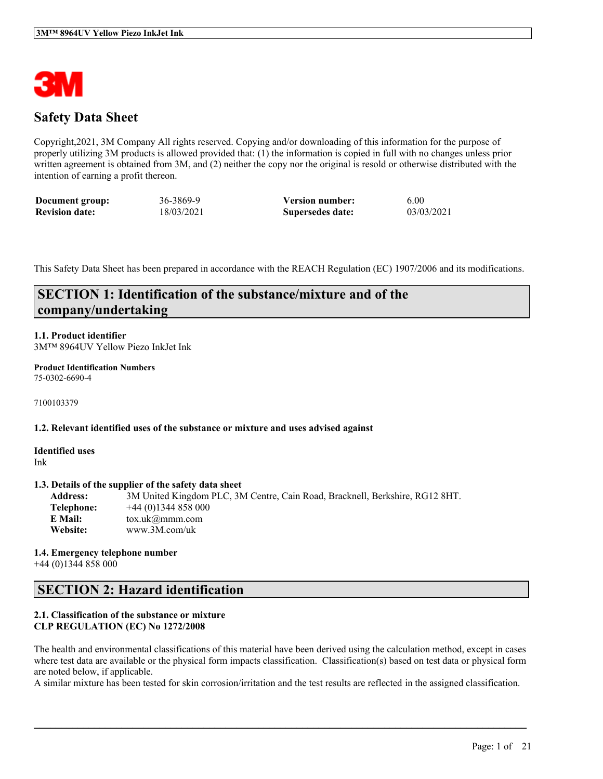

### **Safety Data Sheet**

Copyright,2021, 3M Company All rights reserved. Copying and/or downloading of this information for the purpose of properly utilizing 3M products is allowed provided that: (1) the information is copied in full with no changes unless prior written agreement is obtained from 3M, and (2) neither the copy nor the original is resold or otherwise distributed with the intention of earning a profit thereon.

| Document group:       | 36-3869-9  | <b>Version number:</b> | 6.00       |
|-----------------------|------------|------------------------|------------|
| <b>Revision date:</b> | 18/03/2021 | Supersedes date:       | 03/03/2021 |

This Safety Data Sheet has been prepared in accordance with the REACH Regulation (EC) 1907/2006 and its modifications.

### **SECTION 1: Identification of the substance/mixture and of the company/undertaking**

### **1.1. Product identifier**

3M™ 8964UV Yellow Piezo InkJet Ink

#### **Product Identification Numbers** 75-0302-6690-4

7100103379

#### **1.2. Relevant identified uses of the substance or mixture and uses advised against**

**Identified uses** Ink

#### **1.3. Details of the supplier of the safety data sheet**

**Address:** 3M United Kingdom PLC, 3M Centre, Cain Road, Bracknell, Berkshire, RG12 8HT. **Telephone:** +44 (0)1344 858 000 **E Mail:** tox.uk@mmm.com **Website:** www.3M.com/uk

**1.4. Emergency telephone number** +44 (0)1344 858 000

### **SECTION 2: Hazard identification**

#### **2.1. Classification of the substance or mixture CLP REGULATION (EC) No 1272/2008**

The health and environmental classifications of this material have been derived using the calculation method, except in cases where test data are available or the physical form impacts classification. Classification(s) based on test data or physical form are noted below, if applicable.

A similar mixture has been tested for skin corrosion/irritation and the test results are reflected in the assigned classification.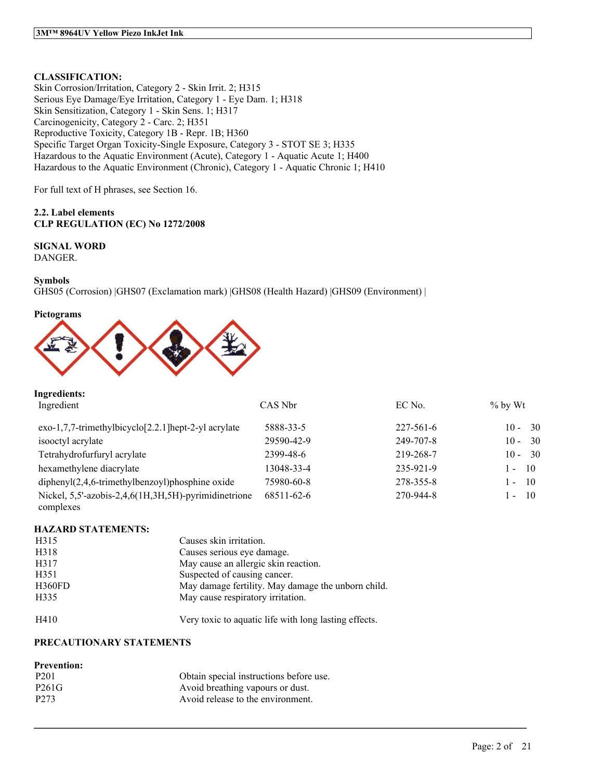### **CLASSIFICATION:**

Skin Corrosion/Irritation, Category 2 - Skin Irrit. 2; H315 Serious Eye Damage/Eye Irritation, Category 1 - Eye Dam. 1; H318 Skin Sensitization, Category 1 - Skin Sens. 1; H317 Carcinogenicity, Category 2 - Carc. 2; H351 Reproductive Toxicity, Category 1B - Repr. 1B; H360 Specific Target Organ Toxicity-Single Exposure, Category 3 - STOT SE 3; H335 Hazardous to the Aquatic Environment (Acute), Category 1 - Aquatic Acute 1; H400 Hazardous to the Aquatic Environment (Chronic), Category 1 - Aquatic Chronic 1; H410

For full text of H phrases, see Section 16.

#### **2.2. Label elements CLP REGULATION (EC) No 1272/2008**

### **SIGNAL WORD**

DANGER.

#### **Symbols**

GHS05 (Corrosion) |GHS07 (Exclamation mark) |GHS08 (Health Hazard) |GHS09 (Environment) |

#### **Pictograms**



| <b>Ingredients:</b>                                               |            |                 |                                  |
|-------------------------------------------------------------------|------------|-----------------|----------------------------------|
| Ingredient                                                        | CAS Nbr    | EC No.          | $%$ by Wt                        |
| $exo-1,7,7-$ trimethylbicyclo $[2.2.1]$ hept-2-yl acrylate        | 5888-33-5  | $227 - 561 - 6$ | - 30<br>$10 -$                   |
| isooctyl acrylate                                                 | 29590-42-9 | 249-707-8       | 30<br>$10 -$                     |
| Tetrahydrofurfuryl acrylate                                       | 2399-48-6  | 219-268-7       | $10 - 30$                        |
| hexamethylene diacrylate                                          | 13048-33-4 | 235-921-9       | -10<br>$\mathbf{v}_{\text{max}}$ |
| $diphenyl(2,4,6-trimethylbenzoyl)phosphine oxide$                 | 75980-60-8 | 278-355-8       | $\overline{10}$<br>$\sim$        |
| Nickel, 5,5'-azobis-2,4,6(1H,3H,5H)-pyrimidinetrione<br>complexes | 68511-62-6 | 270-944-8       | - 10<br>$\sim$                   |

#### **HAZARD STATEMENTS:**

| H315   | Causes skin irritation.                            |
|--------|----------------------------------------------------|
| H318   | Causes serious eye damage.                         |
| H317   | May cause an allergic skin reaction.               |
| H351   | Suspected of causing cancer.                       |
| H360FD | May damage fertility. May damage the unborn child. |
| H335   | May cause respiratory irritation.                  |

H410 Very toxic to aquatic life with long lasting effects.

 $\mathcal{L}_\mathcal{L} = \mathcal{L}_\mathcal{L} = \mathcal{L}_\mathcal{L} = \mathcal{L}_\mathcal{L} = \mathcal{L}_\mathcal{L} = \mathcal{L}_\mathcal{L} = \mathcal{L}_\mathcal{L} = \mathcal{L}_\mathcal{L} = \mathcal{L}_\mathcal{L} = \mathcal{L}_\mathcal{L} = \mathcal{L}_\mathcal{L} = \mathcal{L}_\mathcal{L} = \mathcal{L}_\mathcal{L} = \mathcal{L}_\mathcal{L} = \mathcal{L}_\mathcal{L} = \mathcal{L}_\mathcal{L} = \mathcal{L}_\mathcal{L}$ 

#### **PRECAUTIONARY STATEMENTS**

#### **Prevention:**

| P <sub>201</sub> | Obtain special instructions before use. |
|------------------|-----------------------------------------|
| P261G            | Avoid breathing vapours or dust.        |
| P <sub>273</sub> | Avoid release to the environment.       |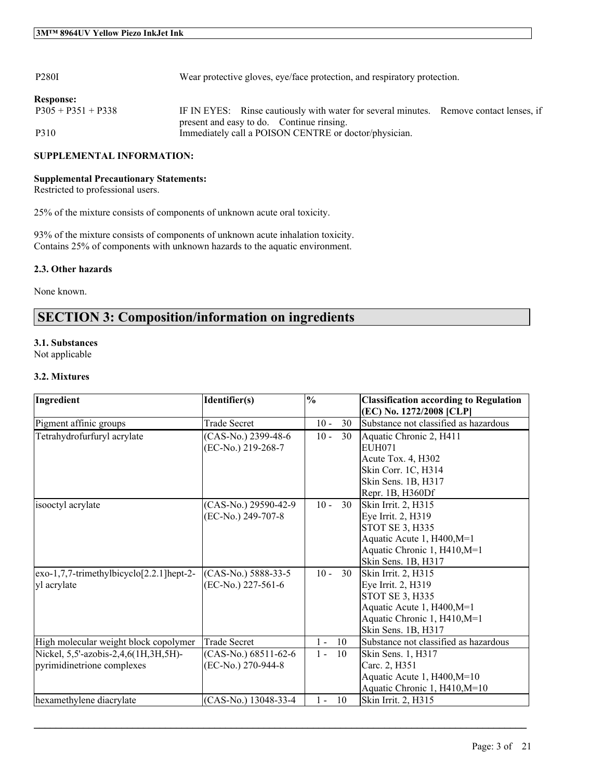| <b>P280I</b>         | Wear protective gloves, eye/face protection, and respiratory protection.                                                            |  |
|----------------------|-------------------------------------------------------------------------------------------------------------------------------------|--|
| <b>Response:</b>     |                                                                                                                                     |  |
| $P305 + P351 + P338$ | IF IN EYES: Rinse cautiously with water for several minutes. Remove contact lenses, if<br>present and easy to do. Continue rinsing. |  |
| P310                 | Immediately call a POISON CENTRE or doctor/physician.                                                                               |  |

#### **SUPPLEMENTAL INFORMATION:**

#### **Supplemental Precautionary Statements:**

Restricted to professional users.

25% of the mixture consists of components of unknown acute oral toxicity.

93% of the mixture consists of components of unknown acute inhalation toxicity. Contains 25% of components with unknown hazards to the aquatic environment.

#### **2.3. Other hazards**

None known.

### **SECTION 3: Composition/information on ingredients**

#### **3.1. Substances**

Not applicable

#### **3.2. Mixtures**

| Ingredient                                                         | Identifier(s)                                | $\frac{0}{0}$ |    | <b>Classification according to Regulation</b><br>(EC) No. 1272/2008 [CLP]                                                                                |
|--------------------------------------------------------------------|----------------------------------------------|---------------|----|----------------------------------------------------------------------------------------------------------------------------------------------------------|
| Pigment affinic groups                                             | <b>Trade Secret</b>                          | $10 -$        | 30 | Substance not classified as hazardous                                                                                                                    |
| Tetrahydrofurfuryl acrylate                                        | (CAS-No.) 2399-48-6<br>(EC-No.) 219-268-7    | $10 -$        | 30 | Aquatic Chronic 2, H411<br>EUH071<br>Acute Tox. 4, H302<br>Skin Corr. 1C, H314<br>Skin Sens. 1B, H317<br>Repr. 1B, H360Df                                |
| isooctyl acrylate                                                  | (CAS-No.) 29590-42-9<br>(EC-No.) 249-707-8   | $10 -$        | 30 | Skin Irrit. 2, H315<br>Eye Irrit. 2, H319<br><b>STOT SE 3, H335</b><br>Aquatic Acute 1, H400, M=1<br>Aquatic Chronic 1, H410, M=1<br>Skin Sens. 1B, H317 |
| exo-1,7,7-trimethylbicyclo[2.2.1]hept-2-<br>yl acrylate            | (CAS-No.) 5888-33-5<br>(EC-No.) 227-561-6    | $10 -$        | 30 | Skin Irrit. 2, H315<br>Eye Irrit. 2, H319<br>STOT SE 3, H335<br>Aquatic Acute 1, H400, M=1<br>Aquatic Chronic 1, H410, M=1<br>Skin Sens. 1B, H317        |
| High molecular weight block copolymer                              | <b>Trade Secret</b>                          | $1 -$         | 10 | Substance not classified as hazardous                                                                                                                    |
| Nickel, 5,5'-azobis-2,4,6(1H,3H,5H)-<br>pyrimidinetrione complexes | $(CAS-No.) 68511-62-6$<br>(EC-No.) 270-944-8 | $1 -$         | 10 | Skin Sens. 1, H317<br>Carc. 2, H351<br>Aquatic Acute 1, H400, M=10<br>Aquatic Chronic 1, H410, M=10                                                      |
| hexamethylene diacrylate                                           | (CAS-No.) 13048-33-4                         | $1 -$         | 10 | Skin Irrit. 2, H315                                                                                                                                      |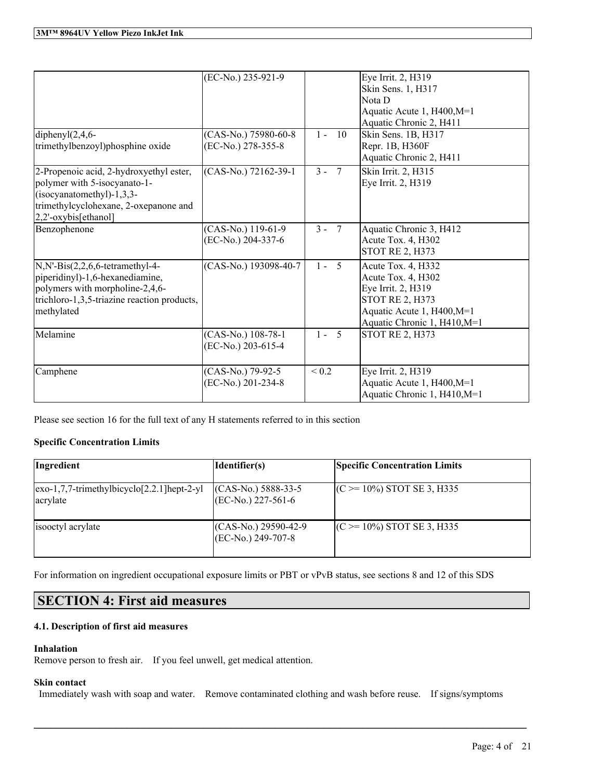| diphenyl $(2,4,6-$                                                                                                                                                        | (EC-No.) 235-921-9<br>(CAS-No.) 75980-60-8 | -10<br>$1 -$             | Eye Irrit. 2, H319<br>Skin Sens. 1, H317<br>Nota D<br>Aquatic Acute 1, H400, M=1<br>Aquatic Chronic 2, H411<br>Skin Sens. 1B, H317                     |
|---------------------------------------------------------------------------------------------------------------------------------------------------------------------------|--------------------------------------------|--------------------------|--------------------------------------------------------------------------------------------------------------------------------------------------------|
| trimethylbenzoyl)phosphine oxide                                                                                                                                          | (EC-No.) 278-355-8                         |                          | Repr. 1B, H360F<br>Aquatic Chronic 2, H411                                                                                                             |
| 2-Propenoic acid, 2-hydroxyethyl ester,<br>polymer with 5-isocyanato-1-<br>(isocyanatomethyl)-1,3,3-<br>trimethylcyclohexane, 2-oxepanone and<br>2,2'-oxybis[ethanol]     | (CAS-No.) 72162-39-1                       | $3 - 7$                  | Skin Irrit. 2, H315<br>Eye Irrit. 2, H319                                                                                                              |
| Benzophenone                                                                                                                                                              | (CAS-No.) 119-61-9<br>(EC-No.) 204-337-6   | $3 - 7$                  | Aquatic Chronic 3, H412<br>Acute Tox. 4, H302<br><b>STOT RE 2, H373</b>                                                                                |
| $N, N'- Bis(2, 2, 6, 6-tetramethyl-4-$<br>piperidinyl)-1,6-hexanediamine,<br>polymers with morpholine-2,4,6-<br>trichloro-1,3,5-triazine reaction products,<br>methylated | (CAS-No.) 193098-40-7                      | $5\overline{5}$<br>$1 -$ | Acute Tox. 4, H332<br>Acute Tox. 4, H302<br>Eye Irrit. 2, H319<br><b>STOT RE 2, H373</b><br>Aquatic Acute 1, H400, M=1<br>Aquatic Chronic 1, H410, M=1 |
| Melamine                                                                                                                                                                  | (CAS-No.) 108-78-1<br>(EC-No.) 203-615-4   | $1 - 5$                  | <b>STOT RE 2, H373</b>                                                                                                                                 |
| Camphene                                                                                                                                                                  | (CAS-No.) 79-92-5<br>(EC-No.) 201-234-8    | < 0.2                    | Eye Irrit. 2, H319<br>Aquatic Acute 1, H400, M=1<br>Aquatic Chronic 1, H410, M=1                                                                       |

Please see section 16 for the full text of any H statements referred to in this section

#### **Specific Concentration Limits**

| Ingredient                                                                   | Identifier(s)                                    | <b>Specific Concentration Limits</b> |
|------------------------------------------------------------------------------|--------------------------------------------------|--------------------------------------|
| $\left[\text{exo-1,7,7-trimethylbicyclo[2.2.1]hept-2-yl}\right]$<br>acrylate | $(CAS-No.) 5888-33-5$<br>$(EC-No.) 227-561-6$    | $(C \ge 10\%)$ STOT SE 3, H335       |
| isooctyl acrylate                                                            | $(CAS-No.) 29590-42-9$<br>$ (EC-No.) 249-707-8 $ | $(C \ge 10\%)$ STOT SE 3, H335       |

For information on ingredient occupational exposure limits or PBT or vPvB status, see sections 8 and 12 of this SDS

### **SECTION 4: First aid measures**

#### **4.1. Description of first aid measures**

#### **Inhalation**

Remove person to fresh air. If you feel unwell, get medical attention.

#### **Skin contact**

Immediately wash with soap and water. Remove contaminated clothing and wash before reuse. If signs/symptoms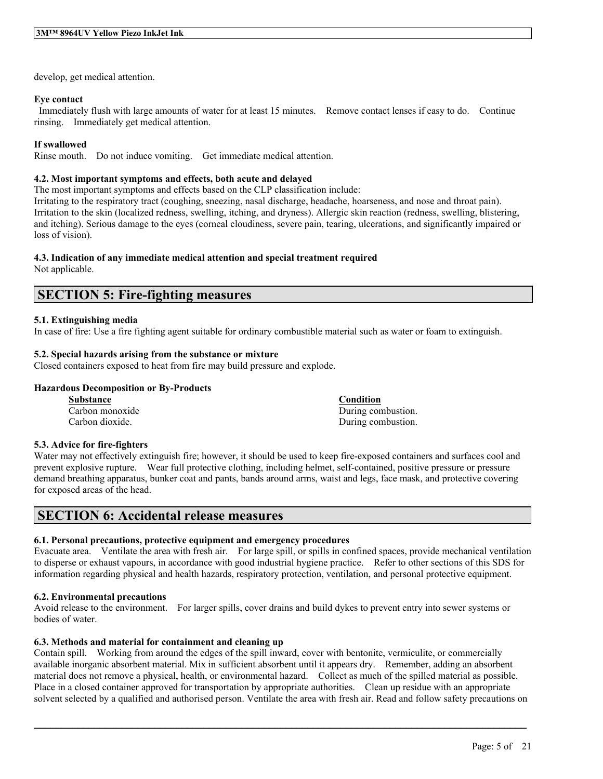develop, get medical attention.

#### **Eye contact**

Immediately flush with large amounts of water for at least 15 minutes. Remove contact lenses if easy to do. Continue rinsing. Immediately get medical attention.

#### **If swallowed**

Rinse mouth. Do not induce vomiting. Get immediate medical attention.

#### **4.2. Most important symptoms and effects, both acute and delayed**

The most important symptoms and effects based on the CLP classification include:

Irritating to the respiratory tract (coughing, sneezing, nasal discharge, headache, hoarseness, and nose and throat pain). Irritation to the skin (localized redness, swelling, itching, and dryness). Allergic skin reaction (redness, swelling, blistering, and itching). Serious damage to the eyes (corneal cloudiness, severe pain, tearing, ulcerations, and significantly impaired or loss of vision).

#### **4.3. Indication of any immediate medical attention and special treatment required**

Not applicable.

### **SECTION 5: Fire-fighting measures**

#### **5.1. Extinguishing media**

In case of fire: Use a fire fighting agent suitable for ordinary combustible material such as water or foam to extinguish.

#### **5.2. Special hazards arising from the substance or mixture**

Closed containers exposed to heat from fire may build pressure and explode.

#### **Hazardous Decomposition or By-Products**

**Substance Condition** Carbon monoxide During combustion. Carbon dioxide. During combustion.

#### **5.3. Advice for fire-fighters**

Water may not effectively extinguish fire; however, it should be used to keep fire-exposed containers and surfaces cool and prevent explosive rupture. Wear full protective clothing, including helmet, self-contained, positive pressure or pressure demand breathing apparatus, bunker coat and pants, bands around arms, waist and legs, face mask, and protective covering for exposed areas of the head.

### **SECTION 6: Accidental release measures**

#### **6.1. Personal precautions, protective equipment and emergency procedures**

Evacuate area. Ventilate the area with fresh air. For large spill, or spills in confined spaces, provide mechanical ventilation to disperse or exhaust vapours, in accordance with good industrial hygiene practice. Refer to other sections of this SDS for information regarding physical and health hazards, respiratory protection, ventilation, and personal protective equipment.

#### **6.2. Environmental precautions**

Avoid release to the environment. For larger spills, cover drains and build dykes to prevent entry into sewer systems or bodies of water.

#### **6.3. Methods and material for containment and cleaning up**

Contain spill. Working from around the edges of the spill inward, cover with bentonite, vermiculite, or commercially available inorganic absorbent material. Mix in sufficient absorbent until it appears dry. Remember, adding an absorbent material does not remove a physical, health, or environmental hazard. Collect as much of the spilled material as possible. Place in a closed container approved for transportation by appropriate authorities. Clean up residue with an appropriate solvent selected by a qualified and authorised person. Ventilate the area with fresh air. Read and follow safety precautions on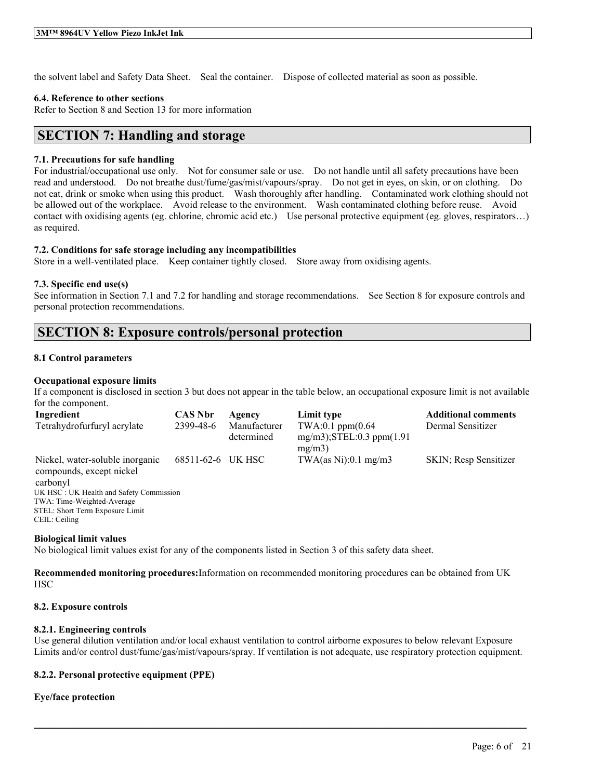the solvent label and Safety Data Sheet. Seal the container. Dispose of collected material as soon as possible.

#### **6.4. Reference to other sections**

Refer to Section 8 and Section 13 for more information

### **SECTION 7: Handling and storage**

#### **7.1. Precautions for safe handling**

For industrial/occupational use only. Not for consumer sale or use. Do not handle until all safety precautions have been read and understood. Do not breathe dust/fume/gas/mist/vapours/spray. Do not get in eyes, on skin, or on clothing. Do not eat, drink or smoke when using this product. Wash thoroughly after handling. Contaminated work clothing should not be allowed out of the workplace. Avoid release to the environment. Wash contaminated clothing before reuse. Avoid contact with oxidising agents (eg. chlorine, chromic acid etc.) Use personal protective equipment (eg. gloves, respirators…) as required.

#### **7.2. Conditions for safe storage including any incompatibilities**

Store in a well-ventilated place. Keep container tightly closed. Store away from oxidising agents.

#### **7.3. Specific end use(s)**

See information in Section 7.1 and 7.2 for handling and storage recommendations. See Section 8 for exposure controls and personal protection recommendations.

### **SECTION 8: Exposure controls/personal protection**

#### **8.1 Control parameters**

#### **Occupational exposure limits**

If a component is disclosed in section 3 but does not appear in the table below, an occupational exposure limit is not available for the component.

| Ingredient                                                  | <b>CAS Nbr</b> | Agency                     | Limit type                                                          | <b>Additional comments</b> |
|-------------------------------------------------------------|----------------|----------------------------|---------------------------------------------------------------------|----------------------------|
| Tetrahydrofurfuryl acrylate                                 | 2399-48-6      | Manufacturer<br>determined | $TWA:0.1$ ppm $(0.64)$<br>$mg/m3$ ; STEL: 0.3 ppm $(1.91)$<br>mg/m3 | Dermal Sensitizer          |
| Nickel, water-soluble inorganic<br>compounds, except nickel | 68511-62-6     | UK HSC                     | TWA $(as Ni):0.1 mg/m3$                                             | SKIN; Resp Sensitizer      |
| carbonyl                                                    |                |                            |                                                                     |                            |
| UK HSC: UK Health and Safety Commission                     |                |                            |                                                                     |                            |
| TWA: Time-Weighted-Average                                  |                |                            |                                                                     |                            |
| STEL: Short Term Exposure Limit                             |                |                            |                                                                     |                            |
| CEIL: Ceiling                                               |                |                            |                                                                     |                            |

**Biological limit values**

No biological limit values exist for any of the components listed in Section 3 of this safety data sheet.

**Recommended monitoring procedures:**Information on recommended monitoring procedures can be obtained from UK **HSC** 

#### **8.2. Exposure controls**

#### **8.2.1. Engineering controls**

Use general dilution ventilation and/or local exhaust ventilation to control airborne exposures to below relevant Exposure Limits and/or control dust/fume/gas/mist/vapours/spray. If ventilation is not adequate, use respiratory protection equipment.

 $\mathcal{L}_\mathcal{L} = \mathcal{L}_\mathcal{L} = \mathcal{L}_\mathcal{L} = \mathcal{L}_\mathcal{L} = \mathcal{L}_\mathcal{L} = \mathcal{L}_\mathcal{L} = \mathcal{L}_\mathcal{L} = \mathcal{L}_\mathcal{L} = \mathcal{L}_\mathcal{L} = \mathcal{L}_\mathcal{L} = \mathcal{L}_\mathcal{L} = \mathcal{L}_\mathcal{L} = \mathcal{L}_\mathcal{L} = \mathcal{L}_\mathcal{L} = \mathcal{L}_\mathcal{L} = \mathcal{L}_\mathcal{L} = \mathcal{L}_\mathcal{L}$ 

#### **8.2.2. Personal protective equipment (PPE)**

#### **Eye/face protection**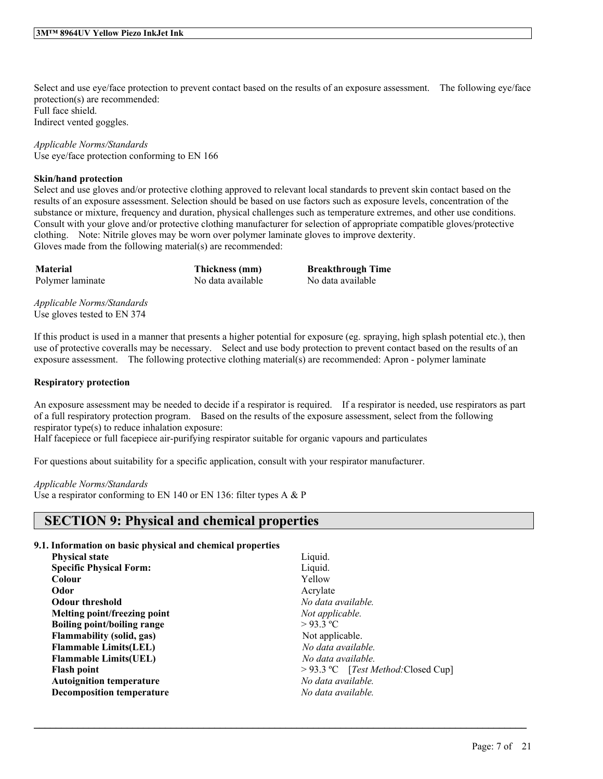Select and use eye/face protection to prevent contact based on the results of an exposure assessment. The following eye/face protection(s) are recommended: Full face shield. Indirect vented goggles.

*Applicable Norms/Standards* Use eye/face protection conforming to EN 166

#### **Skin/hand protection**

Select and use gloves and/or protective clothing approved to relevant local standards to prevent skin contact based on the results of an exposure assessment. Selection should be based on use factors such as exposure levels, concentration of the substance or mixture, frequency and duration, physical challenges such as temperature extremes, and other use conditions. Consult with your glove and/or protective clothing manufacturer for selection of appropriate compatible gloves/protective clothing. Note: Nitrile gloves may be worn over polymer laminate gloves to improve dexterity. Gloves made from the following material(s) are recommended:

**Material Thickness (mm) Breakthrough Time** Polymer laminate No data available No data available

*Applicable Norms/Standards* Use gloves tested to EN 374

If this product is used in a manner that presents a higher potential for exposure (eg. spraying, high splash potential etc.), then use of protective coveralls may be necessary. Select and use body protection to prevent contact based on the results of an exposure assessment. The following protective clothing material(s) are recommended: Apron - polymer laminate

#### **Respiratory protection**

An exposure assessment may be needed to decide if a respirator is required. If a respirator is needed, use respirators as part of a full respiratory protection program. Based on the results of the exposure assessment, select from the following respirator type(s) to reduce inhalation exposure:

Half facepiece or full facepiece air-purifying respirator suitable for organic vapours and particulates

For questions about suitability for a specific application, consult with your respirator manufacturer.

#### *Applicable Norms/Standards*

Use a respirator conforming to EN 140 or EN 136: filter types A & P

### **SECTION 9: Physical and chemical properties**

#### **9.1. Information on basic physical and chemical properties**

| <b>Specific Physical Form:</b><br>Liquid.<br>Yellow<br>Colour<br>Odor<br>Acrylate<br>No data available.<br><b>Odour threshold</b><br>Melting point/freezing point<br>Not applicable.<br>$>93.3$ °C<br>Boiling point/boiling range<br><b>Flammability</b> (solid, gas)<br>Not applicable.<br>No data available<br><b>Flammable Limits(LEL)</b><br>No data available.<br><b>Flammable Limits (UEL)</b><br>> 93.3 °C [Test Method: Closed Cup]<br><b>Flash point</b><br>No data available.<br><b>Autoignition temperature</b><br><b>Decomposition temperature</b><br>No data available. | <b>Physical state</b> | Liquid. |
|--------------------------------------------------------------------------------------------------------------------------------------------------------------------------------------------------------------------------------------------------------------------------------------------------------------------------------------------------------------------------------------------------------------------------------------------------------------------------------------------------------------------------------------------------------------------------------------|-----------------------|---------|
|                                                                                                                                                                                                                                                                                                                                                                                                                                                                                                                                                                                      |                       |         |
|                                                                                                                                                                                                                                                                                                                                                                                                                                                                                                                                                                                      |                       |         |
|                                                                                                                                                                                                                                                                                                                                                                                                                                                                                                                                                                                      |                       |         |
|                                                                                                                                                                                                                                                                                                                                                                                                                                                                                                                                                                                      |                       |         |
|                                                                                                                                                                                                                                                                                                                                                                                                                                                                                                                                                                                      |                       |         |
|                                                                                                                                                                                                                                                                                                                                                                                                                                                                                                                                                                                      |                       |         |
|                                                                                                                                                                                                                                                                                                                                                                                                                                                                                                                                                                                      |                       |         |
|                                                                                                                                                                                                                                                                                                                                                                                                                                                                                                                                                                                      |                       |         |
|                                                                                                                                                                                                                                                                                                                                                                                                                                                                                                                                                                                      |                       |         |
|                                                                                                                                                                                                                                                                                                                                                                                                                                                                                                                                                                                      |                       |         |
|                                                                                                                                                                                                                                                                                                                                                                                                                                                                                                                                                                                      |                       |         |
|                                                                                                                                                                                                                                                                                                                                                                                                                                                                                                                                                                                      |                       |         |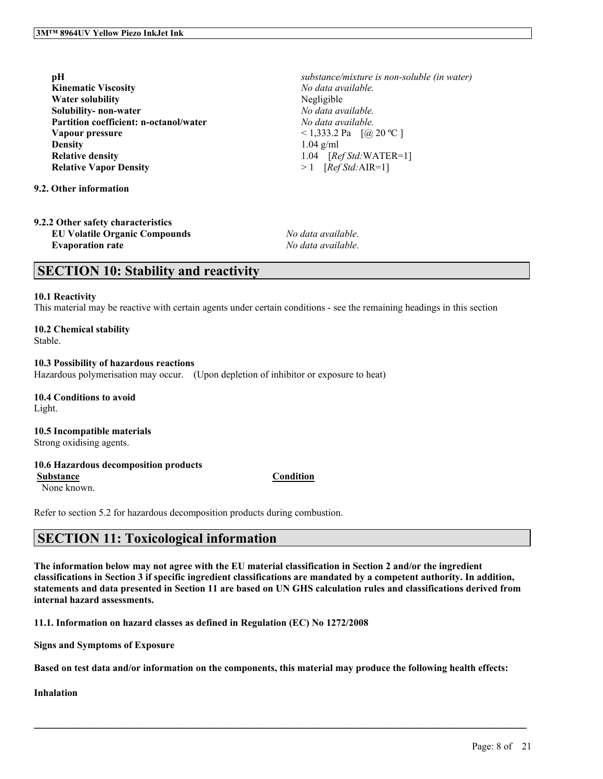| pН                                     |
|----------------------------------------|
| <b>Kinematic Viscosity</b>             |
| <b>Water solubility</b>                |
| Solubility-non-water                   |
| Partition coefficient: n-octanol/water |
| Vapour pressure                        |
| <b>Density</b>                         |
| <b>Relative density</b>                |
| <b>Relative Vapor Density</b>          |
|                                        |

**9.2. Other information**

**9.2.2 Other safety characteristics EU Volatile Organic Compounds** *No data available.* **Evaporation rate** *No data available.*

 $substance/mixture$  *is non-soluble* (*in* water) **Kinematic Viscosity** *No data available.* **Negligible Solubility- non-water** *No data available.* **Partition coefficient: n-octanol/water** *No data available.*  $\leq$  1,333.2 Pa  $\left[$  (@ 20 °C ] **Density** 1.04 g/ml **Relative density** 1.04 [*Ref Std:*WATER=1]  $> 1$  [*Ref Std:AIR=1*]

### **SECTION 10: Stability and reactivity**

#### **10.1 Reactivity**

This material may be reactive with certain agents under certain conditions - see the remaining headings in this section

### **10.2 Chemical stability**

Stable.

#### **10.3 Possibility of hazardous reactions**

Hazardous polymerisation may occur. (Upon depletion of inhibitor or exposure to heat)

**10.4 Conditions to avoid** Light.

**10.5 Incompatible materials** Strong oxidising agents.

#### **10.6 Hazardous decomposition products**

**Substance Condition**

None known.

Refer to section 5.2 for hazardous decomposition products during combustion.

### **SECTION 11: Toxicological information**

The information below may not agree with the EU material classification in Section 2 and/or the ingredient classifications in Section 3 if specific ingredient classifications are mandated by a competent authority. In addition, statements and data presented in Section 11 are based on UN GHS calculation rules and classifications derived from **internal hazard assessments.**

**11.1. Information on hazard classes as defined in Regulation (EC) No 1272/2008**

**Signs and Symptoms of Exposure**

Based on test data and/or information on the components, this material may produce the following health effects:

 $\mathcal{L}_\mathcal{L} = \mathcal{L}_\mathcal{L} = \mathcal{L}_\mathcal{L} = \mathcal{L}_\mathcal{L} = \mathcal{L}_\mathcal{L} = \mathcal{L}_\mathcal{L} = \mathcal{L}_\mathcal{L} = \mathcal{L}_\mathcal{L} = \mathcal{L}_\mathcal{L} = \mathcal{L}_\mathcal{L} = \mathcal{L}_\mathcal{L} = \mathcal{L}_\mathcal{L} = \mathcal{L}_\mathcal{L} = \mathcal{L}_\mathcal{L} = \mathcal{L}_\mathcal{L} = \mathcal{L}_\mathcal{L} = \mathcal{L}_\mathcal{L}$ 

**Inhalation**

#### Page: 8 of 21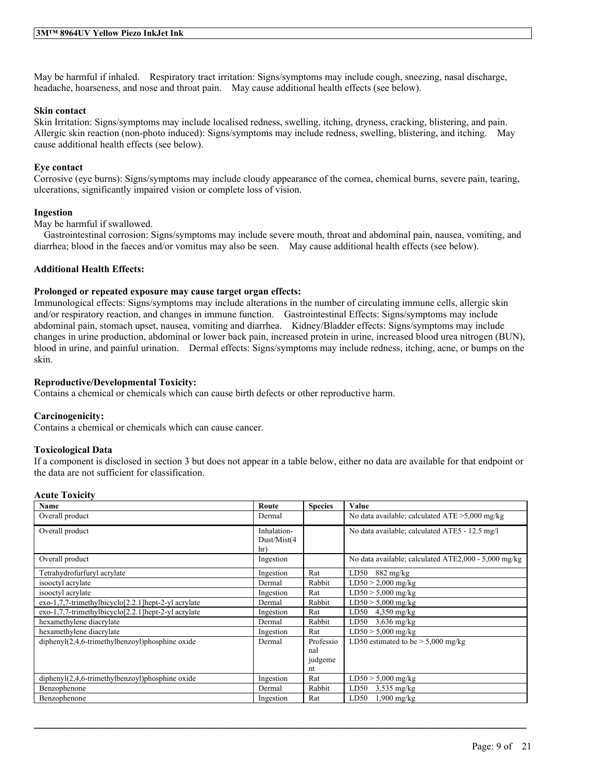May be harmful if inhaled. Respiratory tract irritation: Signs/symptoms may include cough, sneezing, nasal discharge, headache, hoarseness, and nose and throat pain. May cause additional health effects (see below).

#### **Skin contact**

Skin Irritation: Signs/symptoms may include localised redness, swelling, itching, dryness, cracking, blistering, and pain. Allergic skin reaction (non-photo induced): Signs/symptoms may include redness, swelling, blistering, and itching. May cause additional health effects (see below).

#### **Eye contact**

Corrosive (eye burns): Signs/symptoms may include cloudy appearance of the cornea, chemical burns, severe pain, tearing, ulcerations, significantly impaired vision or complete loss of vision.

#### **Ingestion**

May be harmful if swallowed.

Gastrointestinal corrosion: Signs/symptoms may include severe mouth, throat and abdominal pain, nausea, vomiting, and diarrhea; blood in the faeces and/or vomitus may also be seen. May cause additional health effects (see below).

#### **Additional Health Effects:**

#### **Prolonged or repeated exposure may cause target organ effects:**

Immunological effects: Signs/symptoms may include alterations in the number of circulating immune cells, allergic skin and/or respiratory reaction, and changes in immune function. Gastrointestinal Effects: Signs/symptoms may include abdominal pain, stomach upset, nausea, vomiting and diarrhea. Kidney/Bladder effects: Signs/symptoms may include changes in urine production, abdominal or lower back pain, increased protein in urine, increased blood urea nitrogen (BUN), blood in urine, and painful urination. Dermal effects: Signs/symptoms may include redness, itching, acne, or bumps on the skin.

#### **Reproductive/Developmental Toxicity:**

Contains a chemical or chemicals which can cause birth defects or other reproductive harm.

#### **Carcinogenicity:**

Contains a chemical or chemicals which can cause cancer.

#### **Toxicological Data**

If a component is disclosed in section 3 but does not appear in a table below, either no data are available for that endpoint or the data are not sufficient for classification.

#### **Acute Toxicity**

| Name                                                                | Route                       | <b>Species</b> | Value                                                |
|---------------------------------------------------------------------|-----------------------------|----------------|------------------------------------------------------|
| Overall product                                                     | Dermal                      |                | No data available; calculated $ATE > 5,000$ mg/kg    |
| Overall product                                                     | Inhalation-<br>Dust/Mist(4) |                | No data available; calculated ATE5 - 12.5 mg/l       |
|                                                                     | hr)                         |                |                                                      |
| Overall product                                                     | Ingestion                   |                | No data available; calculated ATE2,000 - 5,000 mg/kg |
| Tetrahydrofurfuryl acrylate                                         | Ingestion                   | Rat            | $882 \frac{\text{mg}}{\text{kg}}$<br>LD50            |
| isooctyl acrylate                                                   | Dermal                      | Rabbit         | $LD50 > 2,000$ mg/kg                                 |
| isooctyl acrylate                                                   | Ingestion                   | Rat            | $LD50 > 5,000$ mg/kg                                 |
| exo-1,7,7-trimethylbicyclo[2.2.1] hept-2-yl acrylate                | Dermal                      | Rabbit         | $LD50 > 5,000$ mg/kg                                 |
| $exo-1,7,7-$ trimethylbicyclo <sup>[2.2.1]</sup> hept-2-yl acrylate | Ingestion                   | Rat            | LD50<br>$4,350$ mg/kg                                |
| hexamethylene diacrylate                                            | Dermal                      | Rabbit         | LD50<br>$3,636$ mg/kg                                |
| hexamethylene diacrylate                                            | Ingestion                   | Rat            | $LD50 > 5,000$ mg/kg                                 |
| diphenyl(2,4,6-trimethylbenzoyl)phosphine oxide                     | Dermal                      | Professio      | LD50 estimated to be $> 5,000$ mg/kg                 |
|                                                                     |                             | nal            |                                                      |
|                                                                     |                             | judgeme        |                                                      |
|                                                                     |                             | nt             |                                                      |
| $diphenyl(2,4,6-trimethylbenzoyl)phosphine oxide$                   | Ingestion                   | Rat            | $LD50 > 5,000$ mg/kg                                 |
| Benzophenone                                                        | Dermal                      | Rabbit         | LD50<br>$3,535$ mg/kg                                |
| Benzophenone                                                        | Ingestion                   | Rat            | $1,900$ mg/kg<br>LD50                                |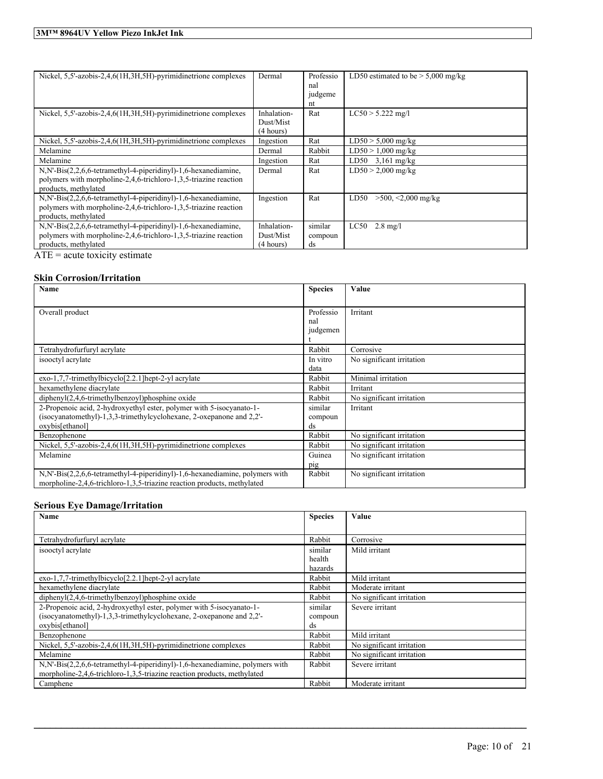| Nickel, 5,5'-azobis-2,4,6(1H,3H,5H)-pyrimidinetrione complexes                                                                                              | Dermal                                | Professio<br>nal<br>judgeme<br>nt | LD50 estimated to be $> 5,000$ mg/kg |
|-------------------------------------------------------------------------------------------------------------------------------------------------------------|---------------------------------------|-----------------------------------|--------------------------------------|
| Nickel, 5,5'-azobis-2,4,6(1H,3H,5H)-pyrimidinetrione complexes                                                                                              | Inhalation-<br>Dust/Mist<br>(4 hours) | Rat                               | $LC50 > 5.222$ mg/l                  |
| Nickel, 5,5'-azobis-2,4,6(1H,3H,5H)-pyrimidinetrione complexes                                                                                              | Ingestion                             | Rat                               | $LD50 > 5,000$ mg/kg                 |
| Melamine                                                                                                                                                    | Dermal                                | Rabbit                            | $LD50 > 1,000$ mg/kg                 |
| Melamine                                                                                                                                                    | Ingestion                             | Rat                               | $LD50$ 3,161 mg/kg                   |
| N, N'-Bis(2,2,6,6-tetramethyl-4-piperidinyl)-1,6-hexanediamine,<br>polymers with morpholine-2,4,6-trichloro-1,3,5-triazine reaction<br>products, methylated | Dermal                                | Rat                               | $LD50 > 2,000$ mg/kg                 |
| N,N'-Bis(2,2,6,6-tetramethyl-4-piperidinyl)-1,6-hexanediamine,<br>polymers with morpholine-2,4,6-trichloro-1,3,5-triazine reaction<br>products, methylated  | Ingestion                             | Rat                               | $>500$ , $<2,000$ mg/kg<br>LD50      |
| N,N'-Bis(2,2,6,6-tetramethyl-4-piperidinyl)-1,6-hexanediamine,                                                                                              | Inhalation-                           | similar                           | LC50<br>$2.8 \text{ mg/l}$           |
| polymers with morpholine-2,4,6-trichloro-1,3,5-triazine reaction                                                                                            | Dust/Mist                             | compoun                           |                                      |
| products, methylated                                                                                                                                        | (4 hours)                             | ds                                |                                      |

 $\overline{ATE}$  = acute toxicity estimate

#### **Skin Corrosion/Irritation**

| Name                                                                                    | <b>Species</b> | Value                     |
|-----------------------------------------------------------------------------------------|----------------|---------------------------|
|                                                                                         |                |                           |
| Overall product                                                                         | Professio      | Irritant                  |
|                                                                                         | nal            |                           |
|                                                                                         | judgemen       |                           |
|                                                                                         |                |                           |
| Tetrahydrofurfuryl acrylate                                                             | Rabbit         | Corrosive                 |
| isooctyl acrylate                                                                       | In vitro       | No significant irritation |
|                                                                                         | data           |                           |
| $exo-1,7,7-$ trimethylbicyclo $[2.2.1]$ hept-2-yl acrylate                              | Rabbit         | Minimal irritation        |
| hexamethylene diacrylate                                                                | Rabbit         | Irritant                  |
| $diphenyl(2,4,6-trimethylbenzoyl)phosphine oxide$                                       | Rabbit         | No significant irritation |
| 2-Propenoic acid, 2-hydroxyethyl ester, polymer with 5-isocyanato-1-                    | similar        | Irritant                  |
| (isocyanatomethyl)-1,3,3-trimethylcyclohexane, 2-oxepanone and 2,2'-                    | compoun        |                           |
| oxybis[ethanol]                                                                         | ds             |                           |
| Benzophenone                                                                            | Rabbit         | No significant irritation |
| Nickel, 5,5'-azobis-2,4,6(1H,3H,5H)-pyrimidinetrione complexes                          | Rabbit         | No significant irritation |
| Melamine                                                                                | Guinea         | No significant irritation |
|                                                                                         | pig            |                           |
| $N$ , $N'$ -Bis $(2,2,6,6$ -tetramethyl-4-piperidinyl)-1,6-hexanediamine, polymers with | Rabbit         | No significant irritation |
| morpholine-2,4,6-trichloro-1,3,5-triazine reaction products, methylated                 |                |                           |

#### **Serious Eye Damage/Irritation**

| Name                                                                         | <b>Species</b> | Value                     |
|------------------------------------------------------------------------------|----------------|---------------------------|
|                                                                              |                |                           |
| Tetrahydrofurfuryl acrylate                                                  | Rabbit         | Corrosive                 |
| isooctyl acrylate                                                            | similar        | Mild irritant             |
|                                                                              | health         |                           |
|                                                                              | hazards        |                           |
| $exo-1,7,7-$ trimethylbicyclo <sup>[2.2.1]</sup> hept-2-yl acrylate          | Rabbit         | Mild irritant             |
| hexamethylene diacrylate                                                     | Rabbit         | Moderate irritant         |
| $diphenyI(2,4,6-trimethylbenzoyl)phosphine oxide$                            | Rabbit         | No significant irritation |
| 2-Propenoic acid, 2-hydroxyethyl ester, polymer with 5-isocyanato-1-         | similar        | Severe irritant           |
| (isocyanatomethyl)-1,3,3-trimethylcyclohexane, 2-oxepanone and 2,2'-         | compoun        |                           |
| oxybis[ethanol]                                                              | ds             |                           |
| Benzophenone                                                                 | Rabbit         | Mild irritant             |
| Nickel, 5.5'-azobis-2,4,6(1H,3H,5H)-pyrimidinetrione complexes               | Rabbit         | No significant irritation |
| Melamine                                                                     | Rabbit         | No significant irritation |
| N,N'-Bis(2,2,6,6-tetramethyl-4-piperidinyl)-1,6-hexanediamine, polymers with | Rabbit         | Severe irritant           |
| morpholine-2,4,6-trichloro-1,3,5-triazine reaction products, methylated      |                |                           |
| Camphene                                                                     | Rabbit         | Moderate irritant         |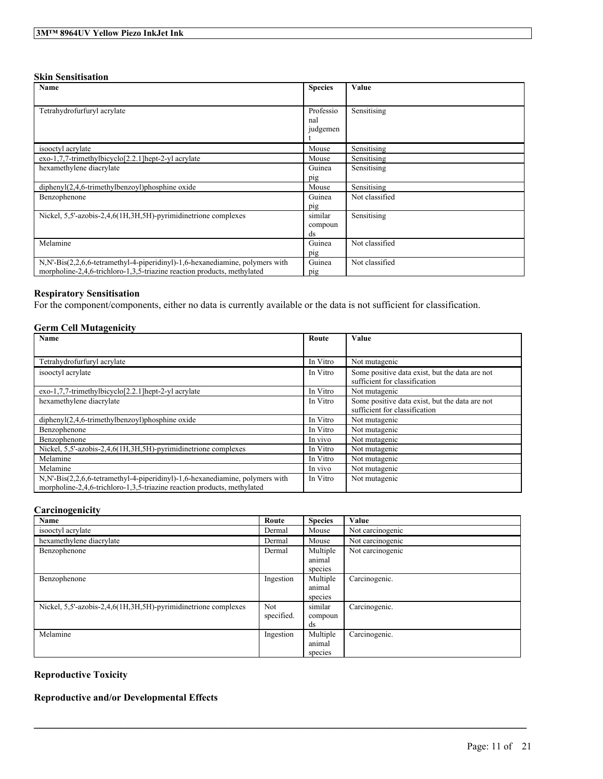#### **Skin Sensitisation**

| Name                                                                                    | <b>Species</b> | Value          |
|-----------------------------------------------------------------------------------------|----------------|----------------|
|                                                                                         |                |                |
| Tetrahydrofurfuryl acrylate                                                             | Professio      | Sensitising    |
|                                                                                         | nal            |                |
|                                                                                         | judgemen       |                |
|                                                                                         |                |                |
| isooctyl acrylate                                                                       | Mouse          | Sensitising    |
| exo-1,7,7-trimethylbicyclo[2.2.1]hept-2-yl acrylate                                     | Mouse          | Sensitising    |
| hexamethylene diacrylate                                                                | Guinea         | Sensitising    |
|                                                                                         | pig            |                |
| diphenyl(2,4,6-trimethylbenzoyl)phosphine oxide                                         | Mouse          | Sensitising    |
| Benzophenone                                                                            | Guinea         | Not classified |
|                                                                                         | pig            |                |
| Nickel, 5,5'-azobis-2,4,6(1H,3H,5H)-pyrimidinetrione complexes                          | similar        | Sensitising    |
|                                                                                         | compoun        |                |
|                                                                                         | ds             |                |
| Melamine                                                                                | Guinea         | Not classified |
|                                                                                         | pig            |                |
| $N$ , $N'$ -Bis $(2,2,6,6$ -tetramethyl-4-piperidinyl)-1,6-hexanediamine, polymers with | Guinea         | Not classified |
| morpholine-2,4,6-trichloro-1,3,5-triazine reaction products, methylated                 | pig            |                |

#### **Respiratory Sensitisation**

For the component/components, either no data is currently available or the data is not sufficient for classification.

#### **Germ Cell Mutagenicity**

| Name                                                                         | Route    | Value                                                                           |
|------------------------------------------------------------------------------|----------|---------------------------------------------------------------------------------|
|                                                                              |          |                                                                                 |
| Tetrahydrofurfuryl acrylate                                                  | In Vitro | Not mutagenic                                                                   |
| isooctyl acrylate                                                            | In Vitro | Some positive data exist, but the data are not<br>sufficient for classification |
| exo-1,7,7-trimethylbicyclo[2.2.1]hept-2-yl acrylate                          | In Vitro | Not mutagenic                                                                   |
| hexamethylene diacrylate                                                     | In Vitro | Some positive data exist, but the data are not                                  |
|                                                                              |          | sufficient for classification                                                   |
| $diphenyl(2,4,6-trimethylbenzoyl)phosphine oxide$                            | In Vitro | Not mutagenic                                                                   |
| Benzophenone                                                                 | In Vitro | Not mutagenic                                                                   |
| Benzophenone                                                                 | In vivo  | Not mutagenic                                                                   |
| Nickel, 5,5'-azobis-2,4,6(1H,3H,5H)-pyrimidinetrione complexes               | In Vitro | Not mutagenic                                                                   |
| Melamine                                                                     | In Vitro | Not mutagenic                                                                   |
| Melamine                                                                     | In vivo  | Not mutagenic                                                                   |
| N,N'-Bis(2,2,6,6-tetramethyl-4-piperidinyl)-1,6-hexanediamine, polymers with | In Vitro | Not mutagenic                                                                   |
| morpholine-2,4,6-trichloro-1,3,5-triazine reaction products, methylated      |          |                                                                                 |

#### **Carcinogenicity**

| Name                                                           | Route      | <b>Species</b> | Value            |
|----------------------------------------------------------------|------------|----------------|------------------|
| isooctyl acrylate                                              | Dermal     | Mouse          | Not carcinogenic |
| hexamethylene diacrylate                                       | Dermal     | Mouse          | Not carcinogenic |
| Benzophenone                                                   | Dermal     | Multiple       | Not carcinogenic |
|                                                                |            | animal         |                  |
|                                                                |            | species        |                  |
| Benzophenone                                                   | Ingestion  | Multiple       | Carcinogenic.    |
|                                                                |            | animal         |                  |
|                                                                |            | species        |                  |
| Nickel, 5,5'-azobis-2,4,6(1H,3H,5H)-pyrimidinetrione complexes | Not        | similar        | Carcinogenic.    |
|                                                                | specified. | compoun        |                  |
|                                                                |            | ds             |                  |
| Melamine                                                       | Ingestion  | Multiple       | Carcinogenic.    |
|                                                                |            | animal         |                  |
|                                                                |            | species        |                  |

 $\mathcal{L}_\mathcal{L} = \mathcal{L}_\mathcal{L} = \mathcal{L}_\mathcal{L} = \mathcal{L}_\mathcal{L} = \mathcal{L}_\mathcal{L} = \mathcal{L}_\mathcal{L} = \mathcal{L}_\mathcal{L} = \mathcal{L}_\mathcal{L} = \mathcal{L}_\mathcal{L} = \mathcal{L}_\mathcal{L} = \mathcal{L}_\mathcal{L} = \mathcal{L}_\mathcal{L} = \mathcal{L}_\mathcal{L} = \mathcal{L}_\mathcal{L} = \mathcal{L}_\mathcal{L} = \mathcal{L}_\mathcal{L} = \mathcal{L}_\mathcal{L}$ 

### **Reproductive Toxicity**

#### **Reproductive and/or Developmental Effects**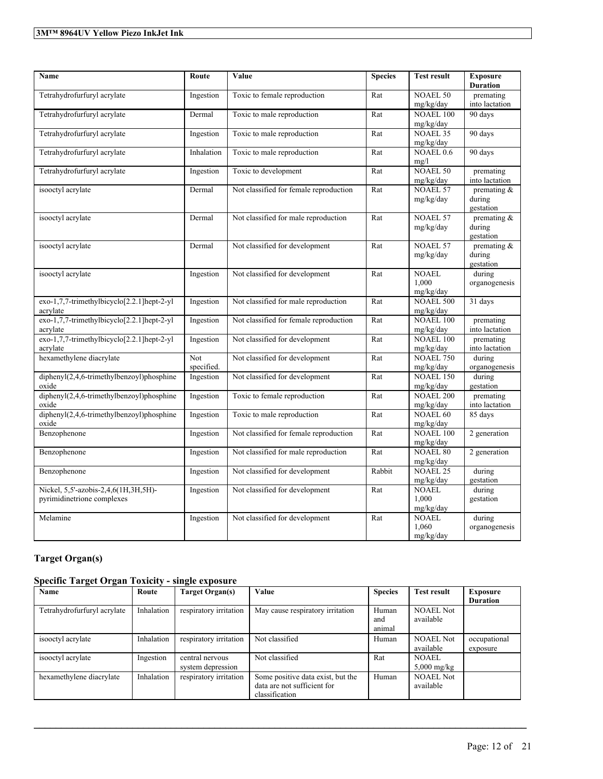| <b>Name</b>                                                        | Route             | Value                                  | <b>Species</b>       | <b>Test result</b>                 | <b>Exposure</b><br><b>Duration</b>    |
|--------------------------------------------------------------------|-------------------|----------------------------------------|----------------------|------------------------------------|---------------------------------------|
| Tetrahydrofurfuryl acrylate                                        | Ingestion         | Toxic to female reproduction           | Rat                  | <b>NOAEL 50</b><br>mg/kg/day       | premating<br>into lactation           |
| Tetrahydrofurfuryl acrylate                                        | Dermal            | Toxic to male reproduction             | Rat                  | <b>NOAEL 100</b><br>mg/kg/day      | 90 days                               |
| Tetrahydrofurfuryl acrylate                                        | Ingestion         | Toxic to male reproduction             | Rat                  | <b>NOAEL 35</b><br>mg/kg/day       | 90 days                               |
| Tetrahydrofurfuryl acrylate                                        | Inhalation        | Toxic to male reproduction             | Rat                  | <b>NOAEL 0.6</b><br>mg/l           | 90 days                               |
| Tetrahydrofurfuryl acrylate                                        | Ingestion         | Toxic to development                   | Rat                  | <b>NOAEL 50</b><br>mg/kg/day       | premating<br>into lactation           |
| isooctyl acrylate                                                  | Dermal            | Not classified for female reproduction | Rat                  | <b>NOAEL 57</b><br>mg/kg/day       | premating $&$<br>during<br>gestation  |
| isooctyl acrylate                                                  | Dermal            | Not classified for male reproduction   | Rat                  | <b>NOAEL 57</b><br>mg/kg/day       | premating $\&$<br>during<br>gestation |
| isooctyl acrylate                                                  | Dermal            | Not classified for development         | Rat                  | <b>NOAEL 57</b><br>mg/kg/day       | premating $\&$<br>during<br>gestation |
| isooctyl acrylate                                                  | Ingestion         | Not classified for development         | Rat                  | <b>NOAEL</b><br>1.000<br>mg/kg/day | during<br>organogenesis               |
| exo-1,7,7-trimethylbicyclo[2.2.1]hept-2-yl<br>acrylate             | Ingestion         | Not classified for male reproduction   | Rat                  | <b>NOAEL 500</b><br>mg/kg/day      | 31 days                               |
| exo-1,7,7-trimethylbicyclo[2.2.1]hept-2-yl<br>acrylate             | Ingestion         | Not classified for female reproduction | Rat                  | <b>NOAEL 100</b><br>mg/kg/day      | premating<br>into lactation           |
| exo-1,7,7-trimethylbicyclo[2.2.1]hept-2-yl<br>acrylate             | Ingestion         | Not classified for development         | Rat                  | <b>NOAEL 100</b><br>mg/kg/day      | premating<br>into lactation           |
| hexamethylene diacrylate                                           | Not<br>specified. | Not classified for development         | Rat                  | <b>NOAEL 750</b><br>mg/kg/day      | during<br>organogenesis               |
| diphenyl(2,4,6-trimethylbenzoyl)phosphine<br>oxide                 | Ingestion         | Not classified for development         | Rat                  | <b>NOAEL 150</b><br>mg/kg/day      | during<br>gestation                   |
| diphenyl(2,4,6-trimethylbenzoyl)phosphine<br>oxide                 | Ingestion         | Toxic to female reproduction           | $\operatorname{Rat}$ | <b>NOAEL 200</b><br>mg/kg/day      | premating<br>into lactation           |
| diphenyl(2,4,6-trimethylbenzoyl)phosphine<br>oxide                 | Ingestion         | Toxic to male reproduction             | Rat                  | <b>NOAEL 60</b><br>mg/kg/day       | 85 days                               |
| Benzophenone                                                       | Ingestion         | Not classified for female reproduction | Rat                  | <b>NOAEL 100</b><br>mg/kg/day      | 2 generation                          |
| Benzophenone                                                       | Ingestion         | Not classified for male reproduction   | Rat                  | <b>NOAEL 80</b><br>mg/kg/day       | 2 generation                          |
| Benzophenone                                                       | Ingestion         | Not classified for development         | Rabbit               | <b>NOAEL 25</b><br>mg/kg/day       | during<br>gestation                   |
| Nickel, 5,5'-azobis-2,4,6(1H,3H,5H)-<br>pyrimidinetrione complexes | Ingestion         | Not classified for development         | Rat                  | <b>NOAEL</b><br>1.000<br>mg/kg/day | during<br>gestation                   |
| Melamine                                                           | Ingestion         | Not classified for development         | Rat                  | <b>NOAEL</b><br>1,060<br>mg/kg/day | during<br>organogenesis               |

### **Target Organ(s)**

### **Specific Target Organ Toxicity - single exposure**

| Name                        | Route      | Target Organ(s)        | Value                             | <b>Species</b> | <b>Test result</b> | Exposure        |
|-----------------------------|------------|------------------------|-----------------------------------|----------------|--------------------|-----------------|
|                             |            |                        |                                   |                |                    | <b>Duration</b> |
| Tetrahydrofurfuryl acrylate | Inhalation | respiratory irritation | May cause respiratory irritation  | Human          | <b>NOAEL Not</b>   |                 |
|                             |            |                        |                                   | and            | available          |                 |
|                             |            |                        |                                   | animal         |                    |                 |
| isooctyl acrylate           | Inhalation | respiratory irritation | Not classified                    | Human          | <b>NOAEL Not</b>   | occupational    |
|                             |            |                        |                                   |                | available          | exposure        |
| isooctyl acrylate           | Ingestion  | central nervous        | Not classified                    | Rat            | <b>NOAEL</b>       |                 |
|                             |            | system depression      |                                   |                | $5,000$ mg/kg      |                 |
| hexamethylene diacrylate    | Inhalation | respiratory irritation | Some positive data exist, but the | Human          | <b>NOAEL Not</b>   |                 |
|                             |            |                        | data are not sufficient for       |                | available          |                 |
|                             |            |                        | classification                    |                |                    |                 |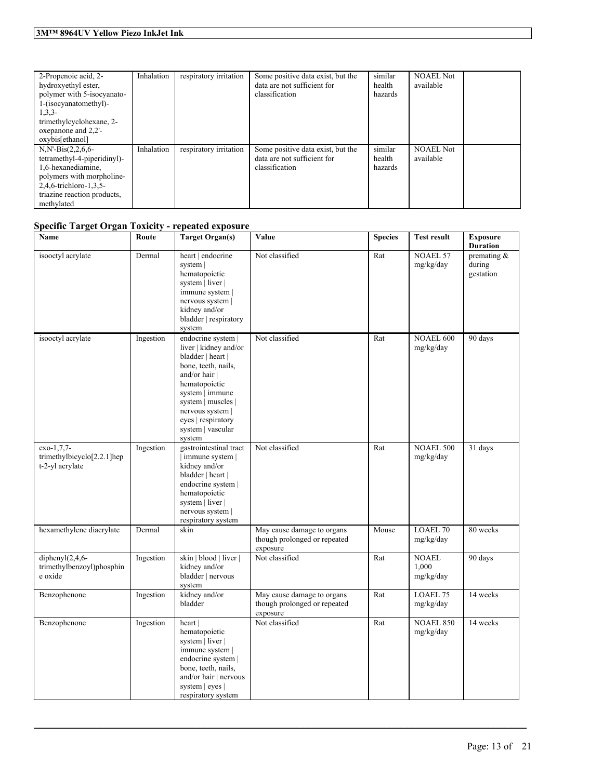| 2-Propenoic acid, 2-<br>hydroxyethyl ester,<br>polymer with 5-isocyanato-<br>1-(isocyanatomethyl)-<br>$1,3,3-$<br>trimethylcyclohexane, 2-<br>oxepanone and 2,2'-<br>oxybis[ethanol] | Inhalation | respiratory irritation | Some positive data exist, but the<br>data are not sufficient for<br>classification | similar<br>health<br>hazards | <b>NOAEL Not</b><br>available |  |
|--------------------------------------------------------------------------------------------------------------------------------------------------------------------------------------|------------|------------------------|------------------------------------------------------------------------------------|------------------------------|-------------------------------|--|
| $N.N - Bis(2, 2, 6, 6 -$<br>tetramethyl-4-piperidinyl)-<br>1,6-hexanediamine.<br>polymers with morpholine-<br>2,4,6-trichloro-1,3,5-<br>triazine reaction products,<br>methylated    | Inhalation | respiratory irritation | Some positive data exist, but the<br>data are not sufficient for<br>classification | similar<br>health<br>hazards | <b>NOAEL Not</b><br>available |  |

### **Specific Target Organ Toxicity - repeated exposure**

| Name                                                          | Route     | <b>Target Organ(s)</b>                                                                                                                                                                                                                      | Value                                                                  | <b>Species</b> | <b>Test result</b>                 | <b>Exposure</b><br><b>Duration</b>   |
|---------------------------------------------------------------|-----------|---------------------------------------------------------------------------------------------------------------------------------------------------------------------------------------------------------------------------------------------|------------------------------------------------------------------------|----------------|------------------------------------|--------------------------------------|
| isooctyl acrylate                                             | Dermal    | heart   endocrine<br>system  <br>hematopoietic<br>system   liver  <br>immune system  <br>nervous system  <br>kidney and/or<br>bladder   respiratory<br>system                                                                               | Not classified                                                         | Rat            | <b>NOAEL 57</b><br>mg/kg/day       | premating $&$<br>during<br>gestation |
| isooctyl acrylate                                             | Ingestion | endocrine system  <br>liver   kidney and/or<br>bladder   heart  <br>bone, teeth, nails,<br>and/or hair  <br>hematopoietic<br>system   immune<br>system   muscles  <br>nervous system  <br>eyes   respiratory<br>system   vascular<br>system | Not classified                                                         | Rat            | <b>NOAEL 600</b><br>mg/kg/day      | 90 days                              |
| $exo-1,7,7-$<br>trimethylbicyclo[2.2.1]hep<br>t-2-yl acrylate | Ingestion | gastrointestinal tract<br>  immune system  <br>kidney and/or<br>bladder   heart  <br>endocrine system  <br>hematopoietic<br>system   liver  <br>nervous system  <br>respiratory system                                                      | Not classified                                                         | Rat            | <b>NOAEL 500</b><br>mg/kg/day      | 31 days                              |
| hexamethylene diacrylate                                      | Dermal    | skin                                                                                                                                                                                                                                        | May cause damage to organs<br>though prolonged or repeated<br>exposure | Mouse          | <b>LOAEL 70</b><br>mg/kg/day       | 80 weeks                             |
| diphenyl $(2,4,6$ -<br>trimethylbenzoyl)phosphin<br>e oxide   | Ingestion | skin   blood   liver  <br>kidney and/or<br>bladder   nervous<br>system                                                                                                                                                                      | Not classified                                                         | Rat            | <b>NOAEL</b><br>1,000<br>mg/kg/day | 90 days                              |
| Benzophenone                                                  | Ingestion | kidney and/or<br>bladder                                                                                                                                                                                                                    | May cause damage to organs<br>though prolonged or repeated<br>exposure | Rat            | LOAEL 75<br>mg/kg/day              | 14 weeks                             |
| Benzophenone                                                  | Ingestion | heart  <br>hematopoietic<br>system   liver  <br>immune system  <br>endocrine system  <br>bone, teeth, nails,<br>and/or hair   nervous<br>system $ $ eyes $ $<br>respiratory system                                                          | Not classified                                                         | Rat            | <b>NOAEL 850</b><br>mg/kg/day      | 14 weeks                             |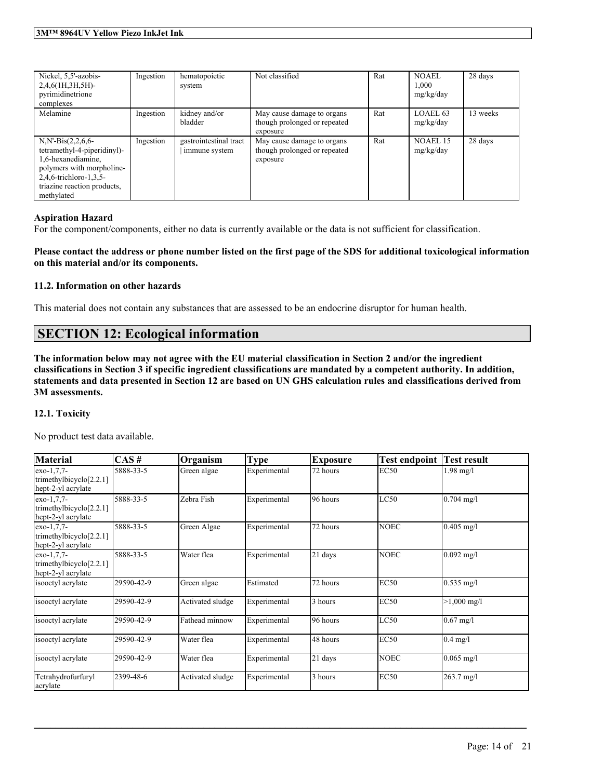| Nickel, 5,5'-azobis-<br>$2,4,6(1H,3H,5H)$ -<br>pyrimidinetrione<br>complexes                                                                                                      | Ingestion | hematopoietic<br>system                 | Not classified                                                         | Rat | <b>NOAEL</b><br>1,000<br>mg/kg/day | 28 days  |
|-----------------------------------------------------------------------------------------------------------------------------------------------------------------------------------|-----------|-----------------------------------------|------------------------------------------------------------------------|-----|------------------------------------|----------|
| Melamine                                                                                                                                                                          | Ingestion | kidney and/or<br>bladder                | May cause damage to organs<br>though prolonged or repeated<br>exposure | Rat | LOAEL 63<br>mg/kg/day              | 13 weeks |
| $N.N - Bis(2, 2, 6, 6 -$<br>tetramethyl-4-piperidinyl)-<br>1,6-hexanediamine,<br>polymers with morpholine-<br>2,4,6-trichloro-1,3,5-<br>triazine reaction products,<br>methylated | Ingestion | gastrointestinal tract<br>immune system | May cause damage to organs<br>though prolonged or repeated<br>exposure | Rat | <b>NOAEL 15</b><br>mg/kg/day       | 28 days  |

#### **Aspiration Hazard**

For the component/components, either no data is currently available or the data is not sufficient for classification.

Please contact the address or phone number listed on the first page of the SDS for additional toxicological information **on this material and/or its components.**

#### **11.2. Information on other hazards**

This material does not contain any substances that are assessed to be an endocrine disruptor for human health.

### **SECTION 12: Ecological information**

The information below may not agree with the EU material classification in Section 2 and/or the ingredient classifications in Section 3 if specific ingredient classifications are mandated by a competent authority. In addition, statements and data presented in Section 12 are based on UN GHS calculation rules and classifications derived from **3M assessments.**

#### **12.1. Toxicity**

No product test data available.

| Material                                                         | CAS#       | Organism         | Type         | <b>Exposure</b> | <b>Test endpoint</b> | Test result          |
|------------------------------------------------------------------|------------|------------------|--------------|-----------------|----------------------|----------------------|
| $exo-1.7.7-$<br>trimethylbicyclo[2.2.1]<br>hept-2-yl acrylate    | 5888-33-5  | Green algae      | Experimental | 72 hours        | <b>EC50</b>          | $1.98$ mg/l          |
| $exo-1,7,7-$<br>trimethylbicyclo $[2.2.1]$<br>hept-2-yl acrylate | 5888-33-5  | Zebra Fish       | Experimental | 96 hours        | LC50                 | $0.704$ mg/l         |
| $exo-1.7.7-$<br>trimethylbicyclo[2.2.1]<br>hept-2-yl acrylate    | 5888-33-5  | Green Algae      | Experimental | 72 hours        | <b>NOEC</b>          | $0.405$ mg/l         |
| $exo-1,7,7-$<br>trimethylbicyclo $[2.2.1]$<br>hept-2-yl acrylate | 5888-33-5  | Water flea       | Experimental | 21 days         | <b>NOEC</b>          | $0.092$ mg/l         |
| isooctyl acrylate                                                | 29590-42-9 | Green algae      | Estimated    | 72 hours        | EC50                 | $0.535$ mg/l         |
| isooctyl acrylate                                                | 29590-42-9 | Activated sludge | Experimental | 3 hours         | <b>EC50</b>          | $>1,000$ mg/l        |
| isooctyl acrylate                                                | 29590-42-9 | Fathead minnow   | Experimental | 96 hours        | LC50                 | $0.67$ mg/l          |
| isooctyl acrylate                                                | 29590-42-9 | Water flea       | Experimental | 48 hours        | <b>EC50</b>          | $0.4$ mg/l           |
| isooctyl acrylate                                                | 29590-42-9 | Water flea       | Experimental | 21 days         | <b>NOEC</b>          | $0.065$ mg/l         |
| Tetrahydrofurfuryl<br>acrylate                                   | 2399-48-6  | Activated sludge | Experimental | 3 hours         | <b>EC50</b>          | $263.7 \text{ mg/l}$ |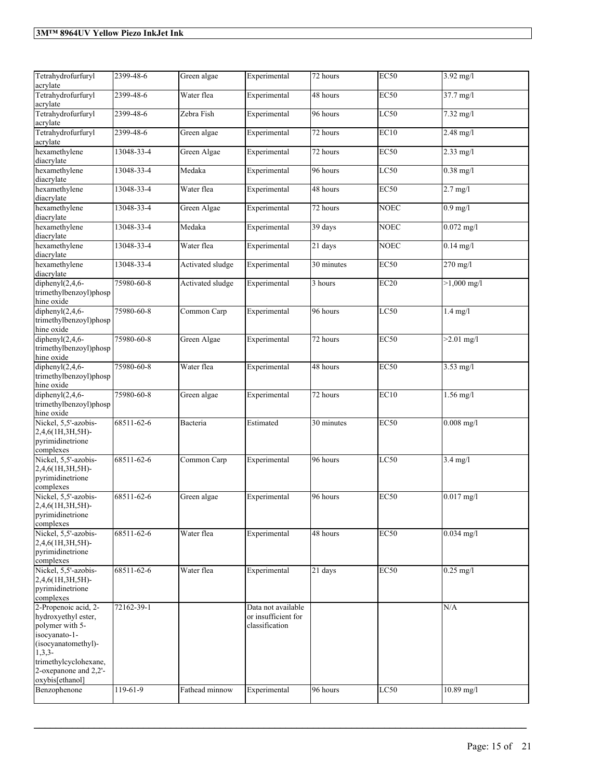| Tetrahydrofurfuryl<br>acrylate                                                                                                                                                          | 2399-48-6  | Green algae      | Experimental                                                | 72 hours   | EC50        | 3.92 mg/l          |
|-----------------------------------------------------------------------------------------------------------------------------------------------------------------------------------------|------------|------------------|-------------------------------------------------------------|------------|-------------|--------------------|
| Tetrahydrofurfuryl<br>acrylate                                                                                                                                                          | 2399-48-6  | Water flea       | Experimental                                                | 48 hours   | <b>EC50</b> | 37.7 mg/l          |
| Tetrahydrofurfuryl<br>acrylate                                                                                                                                                          | 2399-48-6  | Zebra Fish       | Experimental                                                | 96 hours   | LC50        | 7.32 mg/l          |
| Tetrahydrofurfuryl<br>acrylate                                                                                                                                                          | 2399-48-6  | Green algae      | Experimental                                                | 72 hours   | EC10        | $2.48$ mg/l        |
| hexamethylene<br>diacrylate                                                                                                                                                             | 13048-33-4 | Green Algae      | Experimental                                                | 72 hours   | EC50        | $2.33$ mg/l        |
| hexamethylene<br>diacrylate                                                                                                                                                             | 13048-33-4 | Medaka           | Experimental                                                | 96 hours   | LC50        | $0.38$ mg/l        |
| hexamethylene<br>diacrylate                                                                                                                                                             | 13048-33-4 | Water flea       | Experimental                                                | 48 hours   | EC50        | $2.7$ mg/l         |
| hexamethylene<br>diacrylate                                                                                                                                                             | 13048-33-4 | Green Algae      | Experimental                                                | 72 hours   | <b>NOEC</b> | $0.9$ mg/l         |
| hexamethylene<br>diacrylate                                                                                                                                                             | 13048-33-4 | Medaka           | Experimental                                                | 39 days    | <b>NOEC</b> | $0.072$ mg/l       |
| hexamethylene<br>diacrylate                                                                                                                                                             | 13048-33-4 | Water flea       | Experimental                                                | 21 days    | <b>NOEC</b> | $0.14$ mg/l        |
| hexamethylene<br>diacrylate                                                                                                                                                             | 13048-33-4 | Activated sludge | Experimental                                                | 30 minutes | EC50        | 270 mg/l           |
| diphenyl $(2,4,6-$<br>trimethylbenzoyl)phosp<br>hine oxide                                                                                                                              | 75980-60-8 | Activated sludge | Experimental                                                | 3 hours    | EC20        | $>1,000$ mg/l      |
| diphenyl $(2,4,6$ -<br>trimethylbenzoyl)phosp<br>hine oxide                                                                                                                             | 75980-60-8 | Common Carp      | Experimental                                                | 96 hours   | LC50        | $1.4$ mg/l         |
| diphenyl $(2, 4, 6$ -<br>trimethylbenzoyl)phosp<br>hine oxide                                                                                                                           | 75980-60-8 | Green Algae      | Experimental                                                | 72 hours   | EC50        | $>2.01$ mg/l       |
| diphenyl $(2, 4, 6$ -<br>trimethylbenzoyl)phosp<br>hine oxide                                                                                                                           | 75980-60-8 | Water flea       | Experimental                                                | 48 hours   | EC50        | $3.53$ mg/l        |
| diphenyl $(2,4,6$ -<br>trimethylbenzoyl)phosp<br>hine oxide                                                                                                                             | 75980-60-8 | Green algae      | Experimental                                                | 72 hours   | EC10        | $1.56$ mg/l        |
| Nickel, 5,5'-azobis-<br>2,4,6(1H,3H,5H)-<br>pyrimidinetrione<br>complexes                                                                                                               | 68511-62-6 | Bacteria         | Estimated                                                   | 30 minutes | EC50        | $0.008$ mg/l       |
| Nickel, 5,5'-azobis-<br>2,4,6(1H,3H,5H)-<br>pyrimidinetrione<br>complexes                                                                                                               | 68511-62-6 | Common Carp      | Experimental                                                | 96 hours   | LC50        | $3.4 \text{ mg/l}$ |
| Nickel, 5,5'-azobis-<br>2,4,6(1H,3H,5H)-<br>pyrimidinetrione<br>complexes                                                                                                               | 68511-62-6 | Green algae      | Experimental                                                | 96 hours   | <b>EC50</b> | $0.017$ mg/l       |
| Nickel, 5,5'-azobis-<br>2,4,6(1H,3H,5H)-<br>pyrimidinetrione<br>complexes                                                                                                               | 68511-62-6 | Water flea       | Experimental                                                | 48 hours   | EC50        | $0.034$ mg/l       |
| Nickel, 5,5'-azobis-<br>2,4,6(1H,3H,5H)-<br>pyrimidinetrione<br>complexes                                                                                                               | 68511-62-6 | Water flea       | Experimental                                                | 21 days    | EC50        | $0.25$ mg/l        |
| 2-Propenoic acid, 2-<br>hydroxyethyl ester,<br>polymer with 5-<br>isocyanato-1-<br>(isocyanatomethyl)-<br>$1,3,3-$<br>trimethylcyclohexane,<br>2-oxepanone and 2,2'-<br>oxybis[ethanol] | 72162-39-1 |                  | Data not available<br>or insufficient for<br>classification |            |             | N/A                |
| Benzophenone                                                                                                                                                                            | 119-61-9   | Fathead minnow   | Experimental                                                | 96 hours   | LC50        | $10.89$ mg/l       |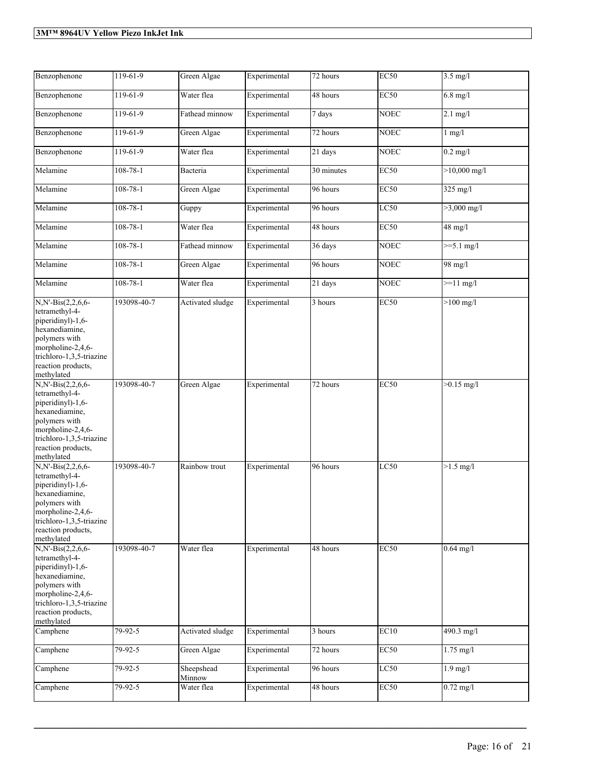| Benzophenone                                                                                                                                                                         | 119-61-9       | Green Algae          | Experimental | $\overline{72}$ hours | <b>EC50</b> | $3.5$ mg/l            |
|--------------------------------------------------------------------------------------------------------------------------------------------------------------------------------------|----------------|----------------------|--------------|-----------------------|-------------|-----------------------|
| Benzophenone                                                                                                                                                                         | $119-61-9$     | Water flea           | Experimental | 48 hours              | <b>EC50</b> | $6.8$ mg/l            |
| Benzophenone                                                                                                                                                                         | 119-61-9       | Fathead minnow       | Experimental | 7 days                | <b>NOEC</b> | $2.1$ mg/l            |
| Benzophenone                                                                                                                                                                         | $119-61-9$     | Green Algae          | Experimental | 72 hours              | <b>NOEC</b> | $1$ mg/ $1$           |
| Benzophenone                                                                                                                                                                         | $119-61-9$     | Water flea           | Experimental | 21 days               | <b>NOEC</b> | $0.2$ mg/l            |
| Melamine                                                                                                                                                                             | $108 - 78 - 1$ | Bacteria             | Experimental | 30 minutes            | EC50        | $>10,000$ mg/l        |
| Melamine                                                                                                                                                                             | $108 - 78 - 1$ | Green Algae          | Experimental | 96 hours              | EC50        | $325$ mg/l            |
| Melamine                                                                                                                                                                             | $108 - 78 - 1$ | Guppy                | Experimental | 96 hours              | LC50        | $>3,000 \text{ mg/l}$ |
| Melamine                                                                                                                                                                             | $108 - 78 - 1$ | Water flea           | Experimental | 48 hours              | EC50        | $48$ mg/l             |
| Melamine                                                                                                                                                                             | $108 - 78 - 1$ | Fathead minnow       | Experimental | 36 days               | <b>NOEC</b> | $>=5.1$ mg/l          |
| Melamine                                                                                                                                                                             | $108 - 78 - 1$ | Green Algae          | Experimental | 96 hours              | <b>NOEC</b> | 98 mg/l               |
| Melamine                                                                                                                                                                             | $108 - 78 - 1$ | Water flea           | Experimental | 21 days               | <b>NOEC</b> | $>=11$ mg/l           |
| N,N'-Bis(2,2,6,6-<br>tetramethyl-4-<br>piperidinyl)-1,6-<br>hexanediamine,<br>polymers with<br>morpholine-2,4,6-<br>trichloro-1,3,5-triazine<br>reaction products,<br>methylated     | 193098-40-7    | Activated sludge     | Experimental | 3 hours               | <b>EC50</b> | $>100$ mg/l           |
| N,N'-Bis(2,2,6,6-<br>tetramethyl-4-<br>piperidinyl)-1,6-<br>hexanediamine,<br>polymers with<br>morpholine-2,4,6-<br>trichloro-1,3,5-triazine<br>reaction products,<br>methylated     | 193098-40-7    | Green Algae          | Experimental | 72 hours              | EC50        | $>0.15$ mg/l          |
| N,N'-Bis(2,2,6,6-<br>tetramethyl-4-<br>piperidinyl)-1,6-<br>hexanediamine,<br>polymers with<br>morpholine- $2,4,6$ -<br>trichloro-1,3,5-triazine<br>reaction products,<br>methylated | 193098-40-7    | Rainbow trout        | Experimental | 96 hours              | LC50        | $>1.5$ mg/l           |
| N,N'-Bis(2,2,6,6-<br>tetramethyl-4-<br>piperidinyl)-1,6-<br>hexanediamine,<br>polymers with<br>morpholine-2,4,6-<br>trichloro-1,3,5-triazine<br>reaction products.<br>methylated     | 193098-40-7    | Water flea           | Experimental | 48 hours              | <b>EC50</b> | $0.64$ mg/l           |
| Camphene                                                                                                                                                                             | 79-92-5        | Activated sludge     | Experimental | 3 hours               | EC10        | 490.3 mg/l            |
| Camphene                                                                                                                                                                             | 79-92-5        | Green Algae          | Experimental | 72 hours              | EC50        | $1.75$ mg/l           |
| Camphene                                                                                                                                                                             | 79-92-5        | Sheepshead<br>Minnow | Experimental | 96 hours              | LC50        | $1.9$ mg/l            |
| Camphene                                                                                                                                                                             | 79-92-5        | Water flea           | Experimental | 48 hours              | EC50        | $0.72$ mg/l           |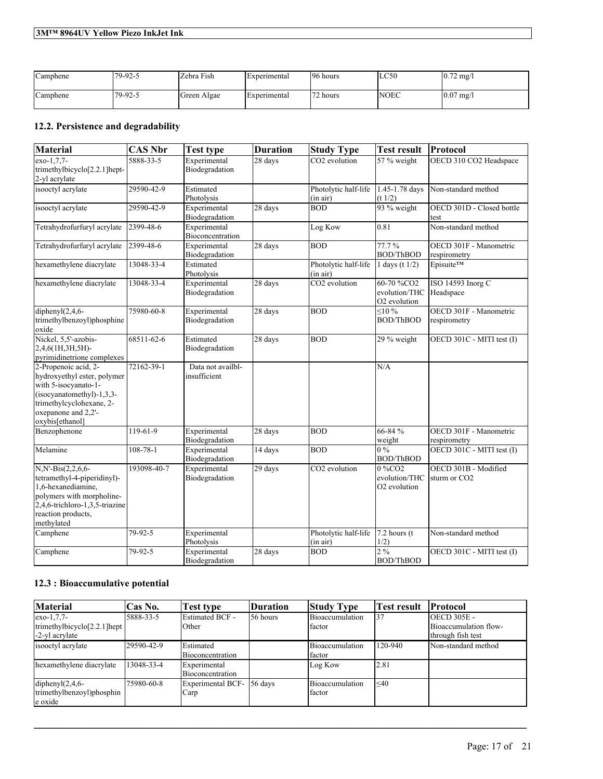| Camphene | $179 - 92 - 5$ | Zebra Fish  | <b>Experimental</b> | 96 hours | LC50        | $10.72 \text{ mg}$ |
|----------|----------------|-------------|---------------------|----------|-------------|--------------------|
| Camphene | 179-92-5       | Green Algae | <i>Experimental</i> | 72 hours | <b>NOEC</b> | $0.07 \text{ mg}$  |

### **12.2. Persistence and degradability**

| <b>Material</b>                                                                                                                                                                | <b>CAS Nbr</b>  | <b>Test type</b>                  | <b>Duration</b> | <b>Study Type</b>                | <b>Test result</b>                                      | Protocol                                         |
|--------------------------------------------------------------------------------------------------------------------------------------------------------------------------------|-----------------|-----------------------------------|-----------------|----------------------------------|---------------------------------------------------------|--------------------------------------------------|
| exo-1.7.7-<br>trimethylbicyclo[2.2.1]hept-<br>2-yl acrylate                                                                                                                    | 5888-33-5       | Experimental<br>Biodegradation    | 28 days         | CO2 evolution                    | 57 % weight                                             | OECD 310 CO2 Headspace                           |
| isooctyl acrylate                                                                                                                                                              | 29590-42-9      | Estimated<br>Photolysis           |                 | Photolytic half-life<br>(in air) | 1.45-1.78 days<br>(t 1/2)                               | Non-standard method                              |
| isooctyl acrylate                                                                                                                                                              | 29590-42-9      | Experimental<br>Biodegradation    | 28 days         | <b>BOD</b>                       | 93 % weight                                             | OECD 301D - Closed bottle<br>test                |
| Tetrahydrofurfuryl acrylate                                                                                                                                                    | $2399 - 48 - 6$ | Experimental<br>Bioconcentration  |                 | Log Kow                          | 0.81                                                    | Non-standard method                              |
| Tetrahydrofurfuryl acrylate                                                                                                                                                    | 2399-48-6       | Experimental<br>Biodegradation    | $28$ days       | <b>BOD</b>                       | 77.7%<br><b>BOD/ThBOD</b>                               | OECD 301F - Manometric<br>respirometry           |
| hexamethylene diacrylate                                                                                                                                                       | 13048-33-4      | Estimated<br>Photolysis           |                 | Photolytic half-life<br>(in air) | 1 days (t $1/2$ )                                       | Episuite™                                        |
| hexamethylene diacrylate                                                                                                                                                       | 13048-33-4      | Experimental<br>Biodegradation    | 28 days         | CO <sub>2</sub> evolution        | 60-70 %CO2<br>evolution/THC<br>O <sub>2</sub> evolution | <b>ISO 14593 Inorg C</b><br>Headspace            |
| diphenyl $(2, 4, 6$ -<br>trimethylbenzoyl)phosphine<br>oxide                                                                                                                   | 75980-60-8      | Experimental<br>Biodegradation    | 28 days         | <b>BOD</b>                       | $10\%$<br><b>BOD/ThBOD</b>                              | OECD 301F - Manometric<br>respirometry           |
| Nickel, 5,5'-azobis-<br>2,4,6(1H,3H,5H)-<br>pyrimidinetrione complexes                                                                                                         | 68511-62-6      | Estimated<br>Biodegradation       | 28 days         | <b>BOD</b>                       | 29 % weight                                             | OECD 301C - MITI test (I)                        |
| 2-Propenoic acid, 2-<br>hydroxyethyl ester, polymer<br>with 5-isocyanato-1-<br>(isocyanatomethyl)-1,3,3-<br>trimethylcyclohexane, 2-<br>oxepanone and 2,2'-<br>oxybis[ethanol] | 72162-39-1      | Data not availbl-<br>insufficient |                 |                                  | N/A                                                     |                                                  |
| Benzophenone                                                                                                                                                                   | 119-61-9        | Experimental<br>Biodegradation    | 28 days         | <b>BOD</b>                       | 66-84 %<br>weight                                       | OECD 301F - Manometric<br>respirometry           |
| Melamine                                                                                                                                                                       | $108 - 78 - 1$  | Experimental<br>Biodegradation    | 14 days         | <b>BOD</b>                       | $0\%$<br><b>BOD/ThBOD</b>                               | OECD 301C - MITI test (I)                        |
| N,N'-Bis(2,2,6,6-<br>tetramethyl-4-piperidinyl)-<br>1,6-hexanediamine,<br>polymers with morpholine-<br>2,4,6-trichloro-1,3,5-triazine<br>reaction products,<br>methylated      | 193098-40-7     | Experimental<br>Biodegradation    | 29 days         | CO2 evolution                    | 0 %CO <sub>2</sub><br>evolution/THC<br>O2 evolution     | OECD 301B - Modified<br>sturm or CO <sub>2</sub> |
| Camphene                                                                                                                                                                       | 79-92-5         | Experimental<br>Photolysis        |                 | Photolytic half-life<br>(in air) | $7.2$ hours (t<br>1/2)                                  | Non-standard method                              |
| Camphene                                                                                                                                                                       | 79-92-5         | Experimental<br>Biodegradation    | 28 days         | <b>BOD</b>                       | 2%<br><b>BOD/ThBOD</b>                                  | OECD 301C - MITI test (I)                        |

### **12.3 : Bioaccumulative potential**

| <b>Material</b>                                 | Cas No.    | <b>Test type</b>                | <b>Duration</b> | <b>Study Type</b>         | <b>Test result</b> | <b>Protocol</b>                        |
|-------------------------------------------------|------------|---------------------------------|-----------------|---------------------------|--------------------|----------------------------------------|
| $exo-1,7,7-$<br>trimethylbicyclo $[2.2.1]$ hept | 5888-33-5  | <b>Estimated BCF -</b><br>Other | 56 hours        | Bioaccumulation<br>factor | 137                | $OECD$ 305E -<br>Bioaccumulation flow- |
| -2-yl acrylate                                  |            |                                 |                 |                           |                    | through fish test                      |
| isooctyl acrylate                               | 29590-42-9 | Estimated                       |                 | Bioaccumulation           | 120-940            | Non-standard method                    |
|                                                 |            | Bioconcentration                |                 | factor                    |                    |                                        |
| hexamethylene diacrylate                        | 13048-33-4 | Experimental                    |                 | Log Kow                   | 12.81              |                                        |
|                                                 |            | Bioconcentration                |                 |                           |                    |                                        |
| diphenyl $(2,4,6-$                              | 75980-60-8 | Experimental BCF- 56 days       |                 | Bioaccumulation           | $\approx 40$       |                                        |
| trimethylbenzoyl)phosphin                       |            | Carp                            |                 | factor                    |                    |                                        |
| e oxide                                         |            |                                 |                 |                           |                    |                                        |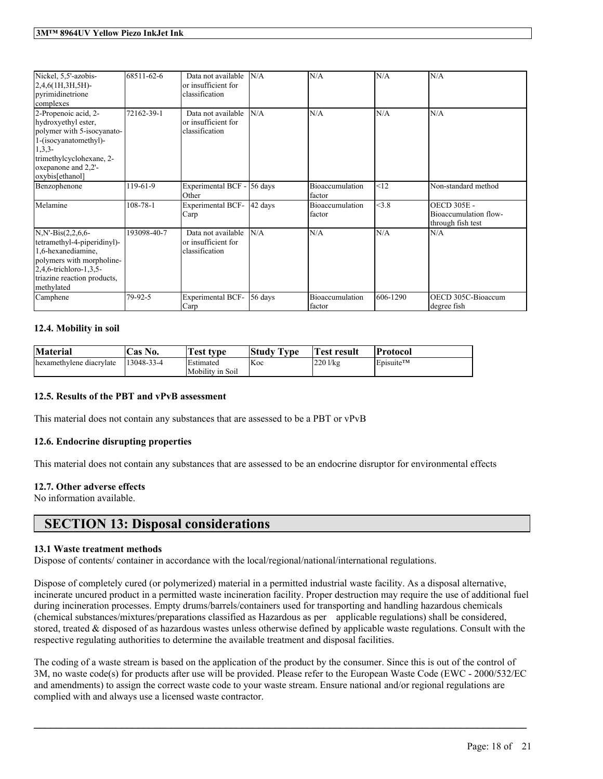| Nickel, 5,5'-azobis-<br>2,4,6(1H,3H,5H)-<br>pyrimidinetrione<br>complexes                                                                                                            | 68511-62-6     | Data not available<br>or insufficient for<br>classification | N/A     | N/A                              | N/A      | N/A                                                              |
|--------------------------------------------------------------------------------------------------------------------------------------------------------------------------------------|----------------|-------------------------------------------------------------|---------|----------------------------------|----------|------------------------------------------------------------------|
| 2-Propenoic acid, 2-<br>hydroxyethyl ester,<br>polymer with 5-isocyanato-<br>1-(isocyanatomethyl)-<br>$1,3,3-$<br>trimethylcyclohexane, 2-<br>oxepanone and 2,2'-<br>oxybis[ethanol] | 72162-39-1     | Data not available<br>or insufficient for<br>classification | N/A     | N/A                              | N/A      | N/A                                                              |
| Benzophenone                                                                                                                                                                         | 119-61-9       | Experimental BCF -<br>Other                                 | 56 days | Bioaccumulation<br>factor        | <12      | Non-standard method                                              |
| Melamine                                                                                                                                                                             | $108 - 78 - 1$ | <b>Experimental BCF-</b><br>Carp                            | 42 days | <b>Bioaccumulation</b><br>factor | <3.8     | <b>OECD 305E -</b><br>Bioaccumulation flow-<br>through fish test |
| $N.N - Bis(2, 2, 6, 6 -$<br>tetramethyl-4-piperidinyl)-<br>1,6-hexanediamine,<br>polymers with morpholine-<br>2,4,6-trichloro-1,3,5-<br>triazine reaction products,<br>methylated    | 193098-40-7    | Data not available<br>or insufficient for<br>classification | N/A     | N/A                              | N/A      | N/A                                                              |
| Camphene                                                                                                                                                                             | 79-92-5        | <b>Experimental BCF-</b><br>Carp                            | 56 days | Bioaccumulation<br>factor        | 606-1290 | OECD 305C-Bioaccum<br>degree fish                                |

#### **12.4. Mobility in soil**

| <b>Material</b>          | 'Cas No.   | Test type        | Study Type | Test result | <b>Protocol</b>                    |
|--------------------------|------------|------------------|------------|-------------|------------------------------------|
| hexamethylene diacrylate | 13048-33-4 | <b>Estimated</b> | <b>Koc</b> | 220 l/kg    | $\mathsf{E}$ pisuite <sup>TM</sup> |
|                          |            | Mobility in Soil |            |             |                                    |

#### **12.5. Results of the PBT and vPvB assessment**

This material does not contain any substances that are assessed to be a PBT or vPvB

#### **12.6. Endocrine disrupting properties**

This material does not contain any substances that are assessed to be an endocrine disruptor for environmental effects

#### **12.7. Other adverse effects**

No information available.

### **SECTION 13: Disposal considerations**

#### **13.1 Waste treatment methods**

Dispose of contents/ container in accordance with the local/regional/national/international regulations.

Dispose of completely cured (or polymerized) material in a permitted industrial waste facility. As a disposal alternative, incinerate uncured product in a permitted waste incineration facility. Proper destruction may require the use of additional fuel during incineration processes. Empty drums/barrels/containers used for transporting and handling hazardous chemicals (chemical substances/mixtures/preparations classified as Hazardous as per applicable regulations) shall be considered, stored, treated & disposed of as hazardous wastes unless otherwise defined by applicable waste regulations. Consult with the respective regulating authorities to determine the available treatment and disposal facilities.

The coding of a waste stream is based on the application of the product by the consumer. Since this is out of the control of 3M, no waste code(s) for products after use will be provided. Please refer to the European Waste Code (EWC - 2000/532/EC and amendments) to assign the correct waste code to your waste stream. Ensure national and/or regional regulations are complied with and always use a licensed waste contractor.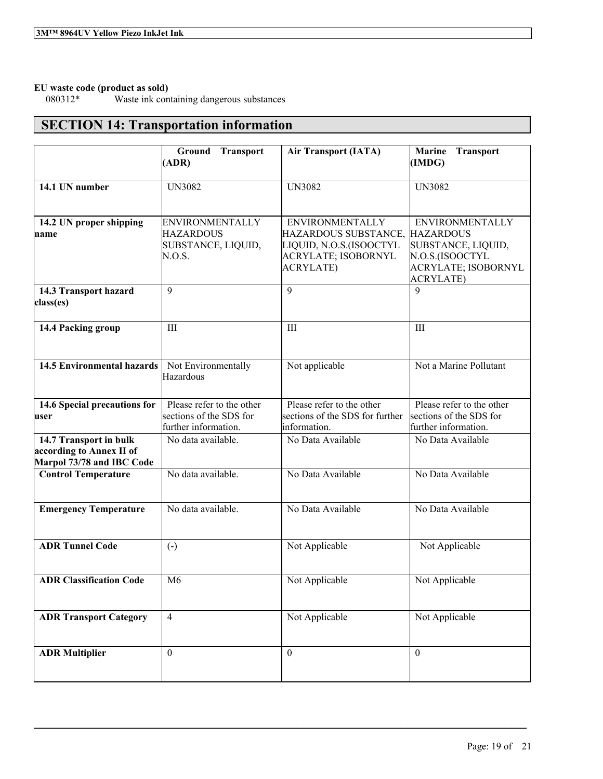# **EU waste code (product as sold)**

Waste ink containing dangerous substances

## **SECTION 14: Transportation information**

|                                                                                 | Ground Transport<br>(ADR)                                                    | <b>Air Transport (IATA)</b>                                                                                          | <b>Marine</b><br><b>Transport</b><br>(IMDG)                                                                                    |
|---------------------------------------------------------------------------------|------------------------------------------------------------------------------|----------------------------------------------------------------------------------------------------------------------|--------------------------------------------------------------------------------------------------------------------------------|
| 14.1 UN number                                                                  | <b>UN3082</b>                                                                | <b>UN3082</b>                                                                                                        | <b>UN3082</b>                                                                                                                  |
| 14.2 UN proper shipping<br>name                                                 | <b>ENVIRONMENTALLY</b><br><b>HAZARDOUS</b><br>SUBSTANCE, LIQUID,<br>N.O.S.   | <b>ENVIRONMENTALLY</b><br>HAZARDOUS SUBSTANCE,<br>LIQUID, N.O.S.(ISOOCTYL<br>ACRYLATE; ISOBORNYL<br><b>ACRYLATE)</b> | <b>ENVIRONMENTALLY</b><br><b>HAZARDOUS</b><br>SUBSTANCE, LIQUID,<br>N.O.S.(ISOOCTYL<br>ACRYLATE; ISOBORNYL<br><b>ACRYLATE)</b> |
| 14.3 Transport hazard<br>class(es)                                              | 9                                                                            | 9                                                                                                                    | $\mathbf{Q}$                                                                                                                   |
| 14.4 Packing group                                                              | III                                                                          | III                                                                                                                  | III                                                                                                                            |
| <b>14.5 Environmental hazards</b>                                               | Not Environmentally<br>Hazardous                                             | Not applicable                                                                                                       | Not a Marine Pollutant                                                                                                         |
| 14.6 Special precautions for<br>user                                            | Please refer to the other<br>sections of the SDS for<br>further information. | Please refer to the other<br>sections of the SDS for further<br>information.                                         | Please refer to the other<br>sections of the SDS for<br>further information.                                                   |
| 14.7 Transport in bulk<br>according to Annex II of<br>Marpol 73/78 and IBC Code | No data available.                                                           | No Data Available                                                                                                    | No Data Available                                                                                                              |
| <b>Control Temperature</b>                                                      | No data available.                                                           | No Data Available                                                                                                    | No Data Available                                                                                                              |
| <b>Emergency Temperature</b>                                                    | No data available.                                                           | No Data Available                                                                                                    | No Data Available                                                                                                              |
| <b>ADR Tunnel Code</b>                                                          | $\left( -\right)$                                                            | Not Applicable                                                                                                       | Not Applicable                                                                                                                 |
| <b>ADR Classification Code</b>                                                  | M <sub>6</sub>                                                               | Not Applicable                                                                                                       | Not Applicable                                                                                                                 |
| <b>ADR Transport Category</b>                                                   | $\overline{4}$                                                               | Not Applicable                                                                                                       | Not Applicable                                                                                                                 |
| <b>ADR Multiplier</b>                                                           | $\mathbf{0}$                                                                 | $\theta$                                                                                                             | $\theta$                                                                                                                       |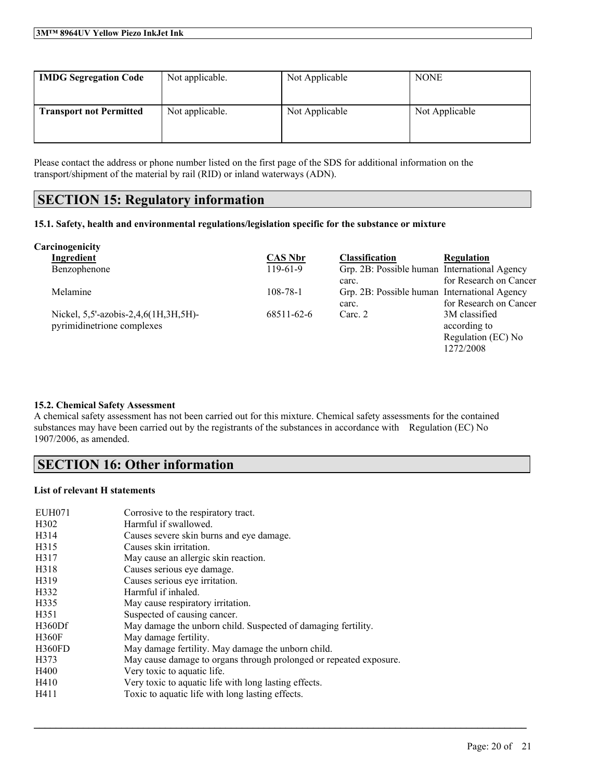| <b>IMDG Segregation Code</b>   | Not applicable. | Not Applicable | <b>NONE</b>    |
|--------------------------------|-----------------|----------------|----------------|
| <b>Transport not Permitted</b> | Not applicable. | Not Applicable | Not Applicable |

Please contact the address or phone number listed on the first page of the SDS for additional information on the transport/shipment of the material by rail (RID) or inland waterways (ADN).

### **SECTION 15: Regulatory information**

#### **15.1. Safety, health and environmental regulations/legislation specific for the substance or mixture**

| Carcinogenicity                      |                |                                              |                        |
|--------------------------------------|----------------|----------------------------------------------|------------------------|
| Ingredient                           | <b>CAS Nbr</b> | <b>Classification</b>                        | Regulation             |
| Benzophenone                         | $119-61-9$     | Grp. 2B: Possible human International Agency |                        |
|                                      |                | carc.                                        | for Research on Cancer |
| Melamine                             | 108-78-1       | Grp. 2B: Possible human International Agency |                        |
|                                      |                | carc.                                        | for Research on Cancer |
| Nickel, 5,5'-azobis-2,4,6(1H,3H,5H)- | 68511-62-6     | Carc. 2                                      | 3M classified          |
| pyrimidinetrione complexes           |                |                                              | according to           |
|                                      |                |                                              | Regulation (EC) No     |
|                                      |                |                                              | 1272/2008              |

#### **15.2. Chemical Safety Assessment**

A chemical safety assessment has not been carried out for this mixture. Chemical safety assessments for the contained substances may have been carried out by the registrants of the substances in accordance with Regulation (EC) No 1907/2006, as amended.

 $\mathcal{L}_\mathcal{L} = \mathcal{L}_\mathcal{L} = \mathcal{L}_\mathcal{L} = \mathcal{L}_\mathcal{L} = \mathcal{L}_\mathcal{L} = \mathcal{L}_\mathcal{L} = \mathcal{L}_\mathcal{L} = \mathcal{L}_\mathcal{L} = \mathcal{L}_\mathcal{L} = \mathcal{L}_\mathcal{L} = \mathcal{L}_\mathcal{L} = \mathcal{L}_\mathcal{L} = \mathcal{L}_\mathcal{L} = \mathcal{L}_\mathcal{L} = \mathcal{L}_\mathcal{L} = \mathcal{L}_\mathcal{L} = \mathcal{L}_\mathcal{L}$ 

### **SECTION 16: Other information**

#### **List of relevant H statements**

| EUH071            | Corrosive to the respiratory tract.                                |
|-------------------|--------------------------------------------------------------------|
| H <sub>3</sub> 02 | Harmful if swallowed.                                              |
| H <sub>3</sub> 14 | Causes severe skin burns and eye damage.                           |
| H315              | Causes skin irritation.                                            |
| H317              | May cause an allergic skin reaction.                               |
| H318              | Causes serious eye damage.                                         |
| H319              | Causes serious eye irritation.                                     |
| H332              | Harmful if inhaled.                                                |
| H335              | May cause respiratory irritation.                                  |
| H351              | Suspected of causing cancer.                                       |
| H360Df            | May damage the unborn child. Suspected of damaging fertility.      |
| <b>H360F</b>      | May damage fertility.                                              |
| <b>H360FD</b>     | May damage fertility. May damage the unborn child.                 |
| H373              | May cause damage to organs through prolonged or repeated exposure. |
| H400              | Very toxic to aquatic life.                                        |
| H410              | Very toxic to aquatic life with long lasting effects.              |
| H411              | Toxic to aquatic life with long lasting effects.                   |
|                   |                                                                    |